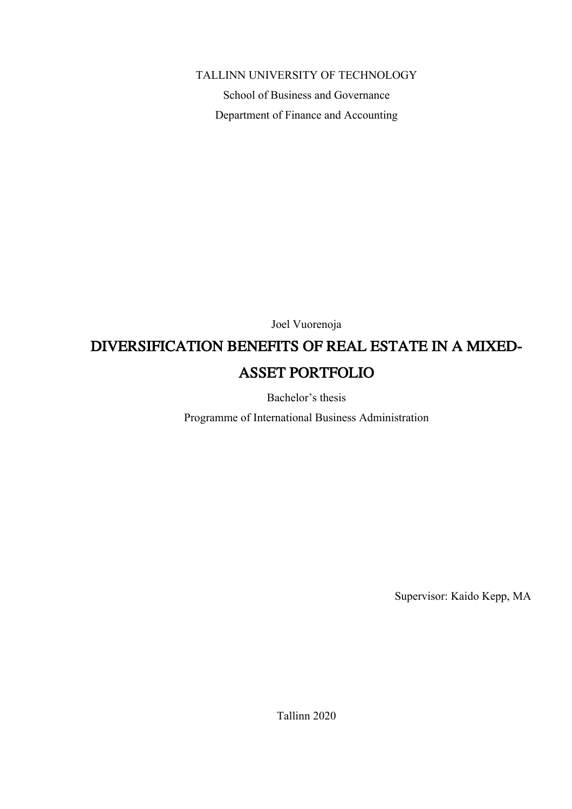### TALLINN UNIVERSITY OF TECHNOLOGY

School of Business and Governance Department of Finance and Accounting

Joel Vuorenoja

# DIVERSIFICATION BENEFITS OF REAL ESTATE IN A MIXED-ASSET PORTFOLIO

Bachelor's thesis

Programme of International Business Administration

Supervisor: Kaido Kepp, MA

Tallinn 2020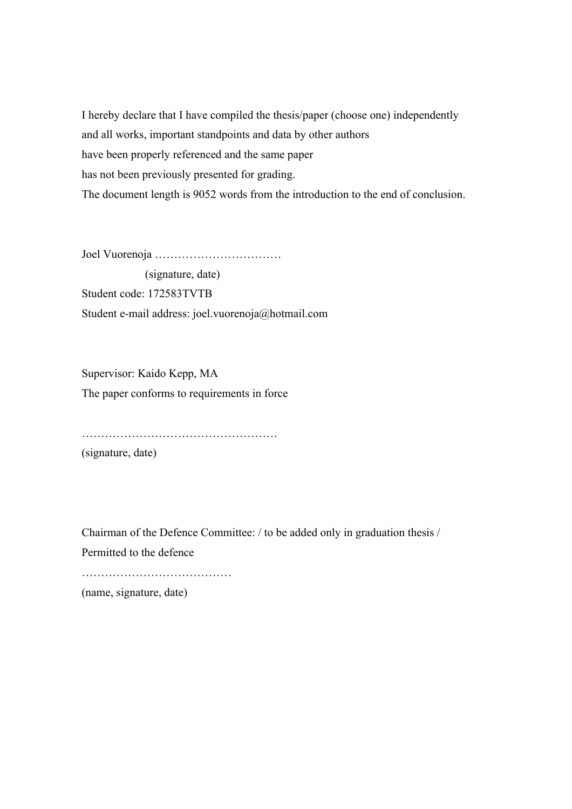I hereby declare that I have compiled the thesis/paper (choose one) independently and all works, important standpoints and data by other authors have been properly referenced and the same paper has not been previously presented for grading. The document length is 9052 words from the introduction to the end of conclusion.

Joel Vuorenoja ……………………………

 (signature, date) Student code: 172583TVTB Student e-mail address: joel.vuorenoja@hotmail.com

Supervisor: Kaido Kepp, MA The paper conforms to requirements in force

……………………………………………

(signature, date)

Chairman of the Defence Committee: / to be added only in graduation thesis / Permitted to the defence

……………………………………………

(name, signature, date)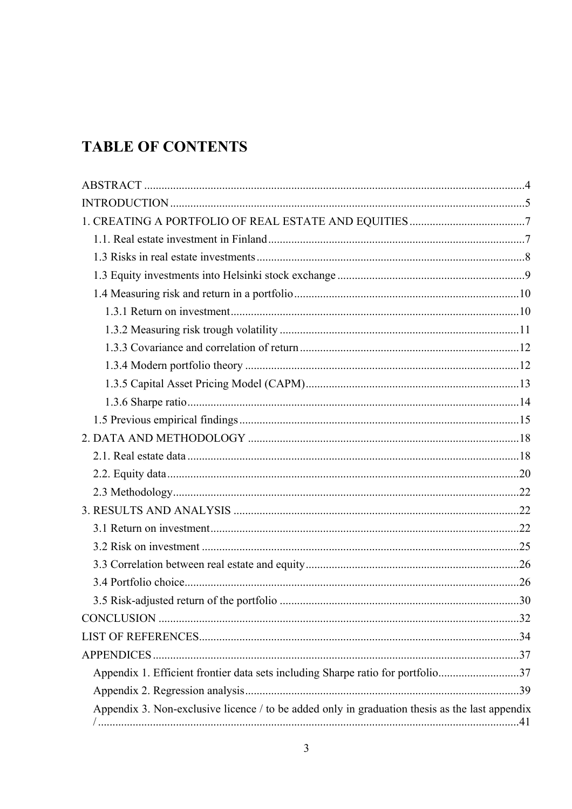# **TABLE OF CONTENTS**

| Appendix 1. Efficient frontier data sets including Sharpe ratio for portfolio37 |
|---------------------------------------------------------------------------------|
|                                                                                 |
|                                                                                 |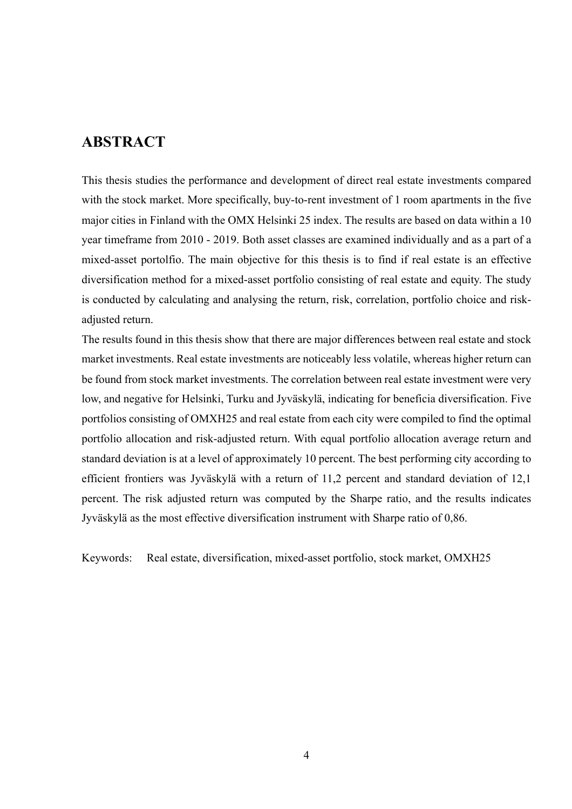## **ABSTRACT**

This thesis studies the performance and development of direct real estate investments compared with the stock market. More specifically, buy-to-rent investment of 1 room apartments in the five major cities in Finland with the OMX Helsinki 25 index. The results are based on data within a 10 year timeframe from 2010 - 2019. Both asset classes are examined individually and as a part of a mixed-asset portolfio. The main objective for this thesis is to find if real estate is an effective diversification method for a mixed-asset portfolio consisting of real estate and equity. The study is conducted by calculating and analysing the return, risk, correlation, portfolio choice and riskadjusted return.

The results found in this thesis show that there are major differences between real estate and stock market investments. Real estate investments are noticeably less volatile, whereas higher return can be found from stock market investments. The correlation between real estate investment were very low, and negative for Helsinki, Turku and Jyväskylä, indicating for beneficia diversification. Five portfolios consisting of OMXH25 and real estate from each city were compiled to find the optimal portfolio allocation and risk-adjusted return. With equal portfolio allocation average return and standard deviation is at a level of approximately 10 percent. The best performing city according to efficient frontiers was Jyväskylä with a return of 11,2 percent and standard deviation of 12,1 percent. The risk adjusted return was computed by the Sharpe ratio, and the results indicates Jyväskylä as the most effective diversification instrument with Sharpe ratio of 0,86.

Keywords: Real estate, diversification, mixed-asset portfolio, stock market, OMXH25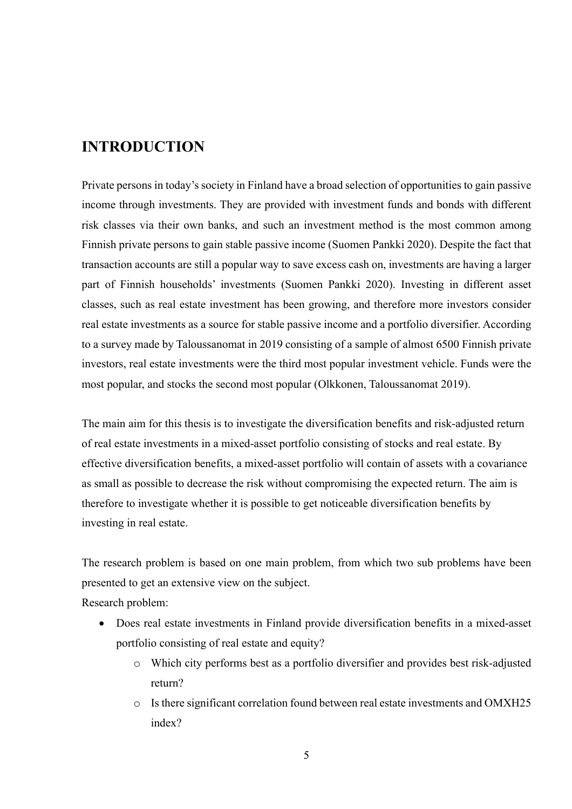# **INTRODUCTION**

Private persons in today's society in Finland have a broad selection of opportunities to gain passive income through investments. They are provided with investment funds and bonds with different risk classes via their own banks, and such an investment method is the most common among Finnish private persons to gain stable passive income (Suomen Pankki 2020). Despite the fact that transaction accounts are still a popular way to save excess cash on, investments are having a larger part of Finnish households' investments (Suomen Pankki 2020). Investing in different asset classes, such as real estate investment has been growing, and therefore more investors consider real estate investments as a source for stable passive income and a portfolio diversifier. According to a survey made by Taloussanomat in 2019 consisting of a sample of almost 6500 Finnish private investors, real estate investments were the third most popular investment vehicle. Funds were the most popular, and stocks the second most popular (Olkkonen, Taloussanomat 2019).

The main aim for this thesis is to investigate the diversification benefits and risk-adjusted return of real estate investments in a mixed-asset portfolio consisting of stocks and real estate. By effective diversification benefits, a mixed-asset portfolio will contain of assets with a covariance as small as possible to decrease the risk without compromising the expected return. The aim is therefore to investigate whether it is possible to get noticeable diversification benefits by investing in real estate.

The research problem is based on one main problem, from which two sub problems have been presented to get an extensive view on the subject.

Research problem:

- Does real estate investments in Finland provide diversification benefits in a mixed-asset portfolio consisting of real estate and equity?
	- o Which city performs best as a portfolio diversifier and provides best risk-adjusted return?
	- o Is there significant correlation found between real estate investments and OMXH25 index?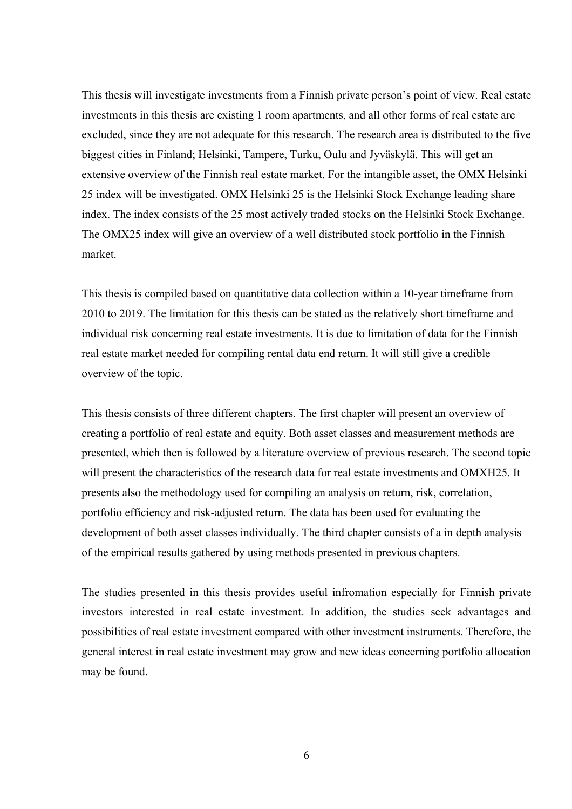This thesis will investigate investments from a Finnish private person's point of view. Real estate investments in this thesis are existing 1 room apartments, and all other forms of real estate are excluded, since they are not adequate for this research. The research area is distributed to the five biggest cities in Finland; Helsinki, Tampere, Turku, Oulu and Jyväskylä. This will get an extensive overview of the Finnish real estate market. For the intangible asset, the OMX Helsinki 25 index will be investigated. OMX Helsinki 25 is the Helsinki Stock Exchange leading share index. The index consists of the 25 most actively traded stocks on the Helsinki Stock Exchange. The OMX25 index will give an overview of a well distributed stock portfolio in the Finnish market.

This thesis is compiled based on quantitative data collection within a 10-year timeframe from 2010 to 2019. The limitation for this thesis can be stated as the relatively short timeframe and individual risk concerning real estate investments. It is due to limitation of data for the Finnish real estate market needed for compiling rental data end return. It will still give a credible overview of the topic.

This thesis consists of three different chapters. The first chapter will present an overview of creating a portfolio of real estate and equity. Both asset classes and measurement methods are presented, which then is followed by a literature overview of previous research. The second topic will present the characteristics of the research data for real estate investments and OMXH25. It presents also the methodology used for compiling an analysis on return, risk, correlation, portfolio efficiency and risk-adjusted return. The data has been used for evaluating the development of both asset classes individually. The third chapter consists of a in depth analysis of the empirical results gathered by using methods presented in previous chapters.

The studies presented in this thesis provides useful infromation especially for Finnish private investors interested in real estate investment. In addition, the studies seek advantages and possibilities of real estate investment compared with other investment instruments. Therefore, the general interest in real estate investment may grow and new ideas concerning portfolio allocation may be found.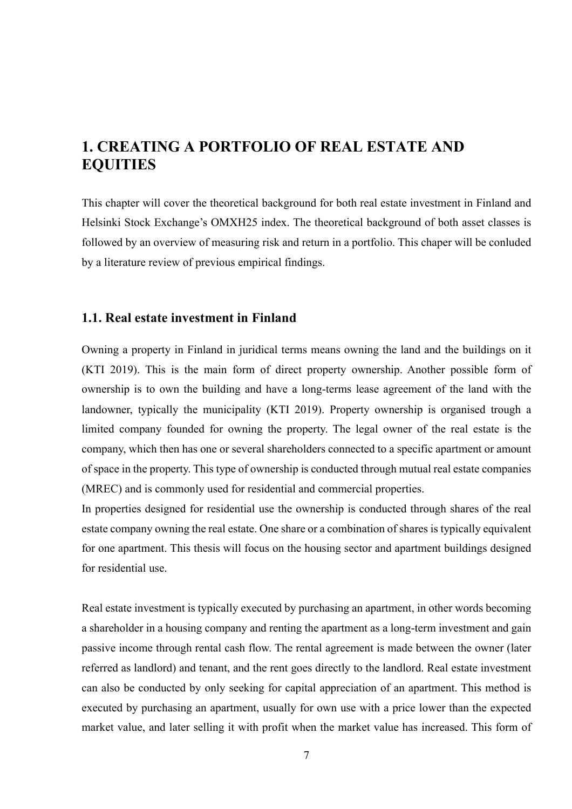# **1. CREATING A PORTFOLIO OF REAL ESTATE AND EQUITIES**

This chapter will cover the theoretical background for both real estate investment in Finland and Helsinki Stock Exchange's OMXH25 index. The theoretical background of both asset classes is followed by an overview of measuring risk and return in a portfolio. This chaper will be conluded by a literature review of previous empirical findings.

#### **1.1. Real estate investment in Finland**

Owning a property in Finland in juridical terms means owning the land and the buildings on it (KTI 2019). This is the main form of direct property ownership. Another possible form of ownership is to own the building and have a long-terms lease agreement of the land with the landowner, typically the municipality (KTI 2019). Property ownership is organised trough a limited company founded for owning the property. The legal owner of the real estate is the company, which then has one or several shareholders connected to a specific apartment or amount of space in the property. This type of ownership is conducted through mutual real estate companies (MREC) and is commonly used for residential and commercial properties.

In properties designed for residential use the ownership is conducted through shares of the real estate company owning the real estate. One share or a combination of shares is typically equivalent for one apartment. This thesis will focus on the housing sector and apartment buildings designed for residential use.

Real estate investment is typically executed by purchasing an apartment, in other words becoming a shareholder in a housing company and renting the apartment as a long-term investment and gain passive income through rental cash flow. The rental agreement is made between the owner (later referred as landlord) and tenant, and the rent goes directly to the landlord. Real estate investment can also be conducted by only seeking for capital appreciation of an apartment. This method is executed by purchasing an apartment, usually for own use with a price lower than the expected market value, and later selling it with profit when the market value has increased. This form of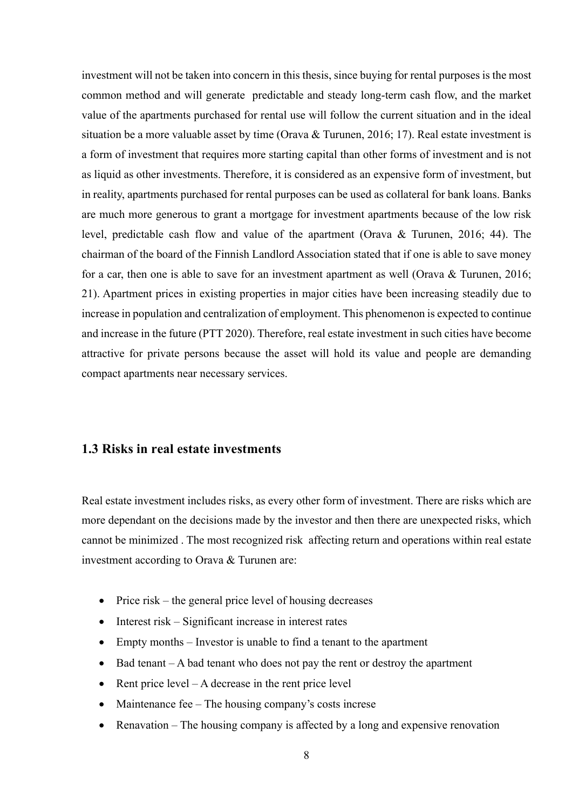investment will not be taken into concern in this thesis, since buying for rental purposes is the most common method and will generate predictable and steady long-term cash flow, and the market value of the apartments purchased for rental use will follow the current situation and in the ideal situation be a more valuable asset by time (Orava & Turunen, 2016; 17). Real estate investment is a form of investment that requires more starting capital than other forms of investment and is not as liquid as other investments. Therefore, it is considered as an expensive form of investment, but in reality, apartments purchased for rental purposes can be used as collateral for bank loans. Banks are much more generous to grant a mortgage for investment apartments because of the low risk level, predictable cash flow and value of the apartment (Orava & Turunen, 2016; 44). The chairman of the board of the Finnish Landlord Association stated that if one is able to save money for a car, then one is able to save for an investment apartment as well (Orava & Turunen, 2016; 21). Apartment prices in existing properties in major cities have been increasing steadily due to increase in population and centralization of employment. This phenomenon is expected to continue and increase in the future (PTT 2020). Therefore, real estate investment in such cities have become attractive for private persons because the asset will hold its value and people are demanding compact apartments near necessary services.

### **1.3 Risks in real estate investments**

Real estate investment includes risks, as every other form of investment. There are risks which are more dependant on the decisions made by the investor and then there are unexpected risks, which cannot be minimized . The most recognized risk affecting return and operations within real estate investment according to Orava & Turunen are:

- Price risk the general price level of housing decreases
- Interest risk Significant increase in interest rates
- Empty months Investor is unable to find a tenant to the apartment
- Bad tenant A bad tenant who does not pay the rent or destroy the apartment
- Rent price  $level A$  decrease in the rent price  $level$
- Maintenance fee The housing company's costs increse
- Renavation The housing company is affected by a long and expensive renovation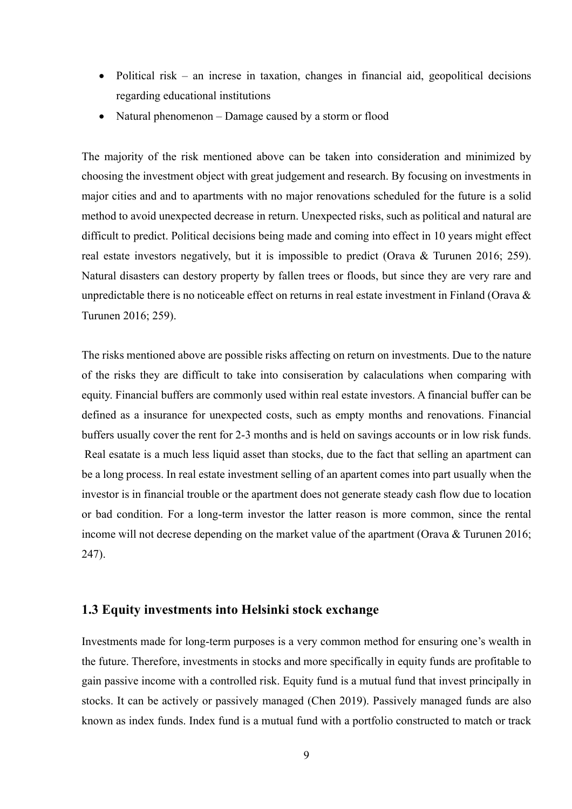- Political risk an increse in taxation, changes in financial aid, geopolitical decisions regarding educational institutions
- Natural phenomenon Damage caused by a storm or flood

The majority of the risk mentioned above can be taken into consideration and minimized by choosing the investment object with great judgement and research. By focusing on investments in major cities and and to apartments with no major renovations scheduled for the future is a solid method to avoid unexpected decrease in return. Unexpected risks, such as political and natural are difficult to predict. Political decisions being made and coming into effect in 10 years might effect real estate investors negatively, but it is impossible to predict (Orava & Turunen 2016; 259). Natural disasters can destory property by fallen trees or floods, but since they are very rare and unpredictable there is no noticeable effect on returns in real estate investment in Finland (Orava & Turunen 2016; 259).

The risks mentioned above are possible risks affecting on return on investments. Due to the nature of the risks they are difficult to take into consiseration by calaculations when comparing with equity. Financial buffers are commonly used within real estate investors. A financial buffer can be defined as a insurance for unexpected costs, such as empty months and renovations. Financial buffers usually cover the rent for 2-3 months and is held on savings accounts or in low risk funds. Real esatate is a much less liquid asset than stocks, due to the fact that selling an apartment can be a long process. In real estate investment selling of an apartent comes into part usually when the investor is in financial trouble or the apartment does not generate steady cash flow due to location or bad condition. For a long-term investor the latter reason is more common, since the rental income will not decrese depending on the market value of the apartment (Orava & Turunen 2016; 247).

#### **1.3 Equity investments into Helsinki stock exchange**

Investments made for long-term purposes is a very common method for ensuring one's wealth in the future. Therefore, investments in stocks and more specifically in equity funds are profitable to gain passive income with a controlled risk. Equity fund is a mutual fund that invest principally in stocks. It can be actively or passively managed (Chen 2019). Passively managed funds are also known as index funds. Index fund is a mutual fund with a portfolio constructed to match or track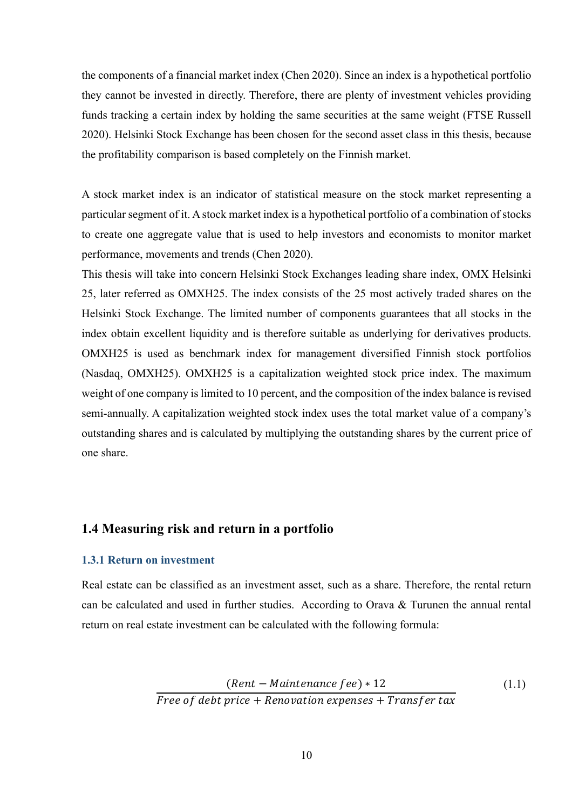the components of a financial market index (Chen 2020). Since an index is a hypothetical portfolio they cannot be invested in directly. Therefore, there are plenty of investment vehicles providing funds tracking a certain index by holding the same securities at the same weight (FTSE Russell 2020). Helsinki Stock Exchange has been chosen for the second asset class in this thesis, because the profitability comparison is based completely on the Finnish market.

A stock market index is an indicator of statistical measure on the stock market representing a particular segment of it. A stock market index is a hypothetical portfolio of a combination of stocks to create one aggregate value that is used to help investors and economists to monitor market performance, movements and trends (Chen 2020).

This thesis will take into concern Helsinki Stock Exchanges leading share index, OMX Helsinki 25, later referred as OMXH25. The index consists of the 25 most actively traded shares on the Helsinki Stock Exchange. The limited number of components guarantees that all stocks in the index obtain excellent liquidity and is therefore suitable as underlying for derivatives products. OMXH25 is used as benchmark index for management diversified Finnish stock portfolios (Nasdaq, OMXH25). OMXH25 is a capitalization weighted stock price index. The maximum weight of one company is limited to 10 percent, and the composition of the index balance is revised semi-annually. A capitalization weighted stock index uses the total market value of a company's outstanding shares and is calculated by multiplying the outstanding shares by the current price of one share.

#### **1.4 Measuring risk and return in a portfolio**

#### **1.3.1 Return on investment**

Real estate can be classified as an investment asset, such as a share. Therefore, the rental return can be calculated and used in further studies. According to Orava & Turunen the annual rental return on real estate investment can be calculated with the following formula:

$$
\frac{(Rent - Maintenance fee) * 12}{Free of debt price + Renovation expenses + Transfer tax}
$$
\n(1.1)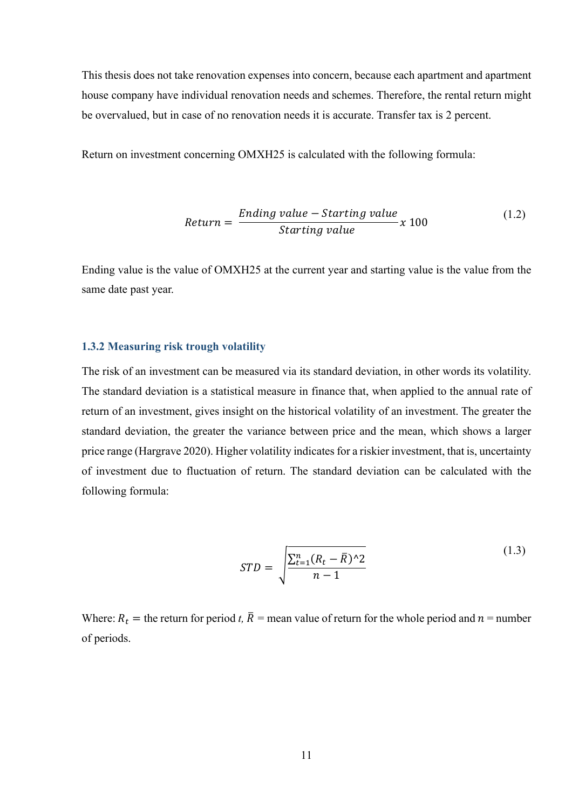This thesis does not take renovation expenses into concern, because each apartment and apartment house company have individual renovation needs and schemes. Therefore, the rental return might be overvalued, but in case of no renovation needs it is accurate. Transfer tax is 2 percent.

Return on investment concerning OMXH25 is calculated with the following formula:

$$
Return = \frac{Ending value - Starting value}{Starting value} \times 100
$$
\n(1.2)

Ending value is the value of OMXH25 at the current year and starting value is the value from the same date past year.

#### **1.3.2 Measuring risk trough volatility**

The risk of an investment can be measured via its standard deviation, in other words its volatility. The standard deviation is a statistical measure in finance that, when applied to the annual rate of return of an investment, gives insight on the historical volatility of an investment. The greater the standard deviation, the greater the variance between price and the mean, which shows a larger price range (Hargrave 2020). Higher volatility indicates for a riskier investment, that is, uncertainty of investment due to fluctuation of return. The standard deviation can be calculated with the following formula:

$$
STD = \sqrt{\frac{\sum_{t=1}^{n} (R_t - \bar{R})^2 2}{n - 1}}
$$
\n(1.3)

Where:  $R_t$  = the return for period *t*,  $\overline{R}$  = mean value of return for the whole period and  $n$  = number of periods.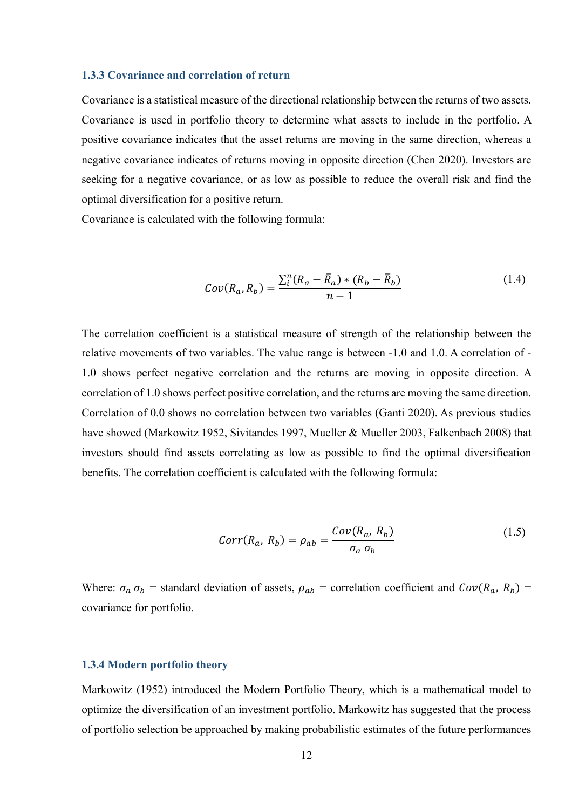#### **1.3.3 Covariance and correlation of return**

Covariance is a statistical measure of the directional relationship between the returns of two assets. Covariance is used in portfolio theory to determine what assets to include in the portfolio. A positive covariance indicates that the asset returns are moving in the same direction, whereas a negative covariance indicates of returns moving in opposite direction (Chen 2020). Investors are seeking for a negative covariance, or as low as possible to reduce the overall risk and find the optimal diversification for a positive return.

Covariance is calculated with the following formula:

$$
Cov(R_a, R_b) = \frac{\sum_{i}^{n} (R_a - \bar{R}_a) * (R_b - \bar{R}_b)}{n - 1}
$$
\n(1.4)

The correlation coefficient is a statistical measure of strength of the relationship between the relative movements of two variables. The value range is between -1.0 and 1.0. A correlation of - 1.0 shows perfect negative correlation and the returns are moving in opposite direction. A correlation of 1.0 shows perfect positive correlation, and the returns are moving the same direction. Correlation of 0.0 shows no correlation between two variables (Ganti 2020). As previous studies have showed (Markowitz 1952, Sivitandes 1997, Mueller & Mueller 2003, Falkenbach 2008) that investors should find assets correlating as low as possible to find the optimal diversification benefits. The correlation coefficient is calculated with the following formula:

$$
Corr(R_a, R_b) = \rho_{ab} = \frac{Cov(R_a, R_b)}{\sigma_a \sigma_b}
$$
\n(1.5)

Where:  $\sigma_a \sigma_b$  = standard deviation of assets,  $\rho_{ab}$  = correlation coefficient and  $Cov(R_a, R_b)$  = covariance for portfolio.

#### **1.3.4 Modern portfolio theory**

Markowitz (1952) introduced the Modern Portfolio Theory, which is a mathematical model to optimize the diversification of an investment portfolio. Markowitz has suggested that the process of portfolio selection be approached by making probabilistic estimates of the future performances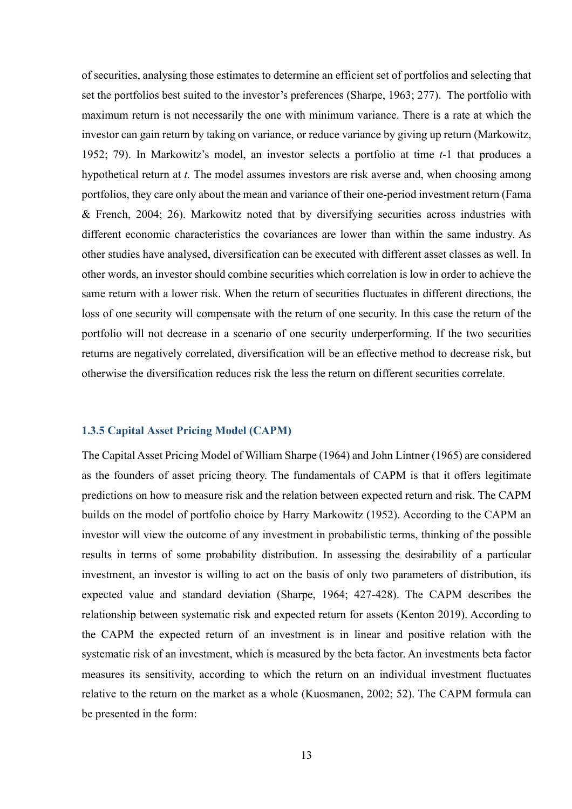of securities, analysing those estimates to determine an efficient set of portfolios and selecting that set the portfolios best suited to the investor's preferences (Sharpe, 1963; 277). The portfolio with maximum return is not necessarily the one with minimum variance. There is a rate at which the investor can gain return by taking on variance, or reduce variance by giving up return (Markowitz, 1952; 79). In Markowitz's model, an investor selects a portfolio at time *t*-1 that produces a hypothetical return at *t.* The model assumes investors are risk averse and, when choosing among portfolios, they care only about the mean and variance of their one-period investment return (Fama & French, 2004; 26). Markowitz noted that by diversifying securities across industries with different economic characteristics the covariances are lower than within the same industry. As other studies have analysed, diversification can be executed with different asset classes as well. In other words, an investor should combine securities which correlation is low in order to achieve the same return with a lower risk. When the return of securities fluctuates in different directions, the loss of one security will compensate with the return of one security. In this case the return of the portfolio will not decrease in a scenario of one security underperforming. If the two securities returns are negatively correlated, diversification will be an effective method to decrease risk, but otherwise the diversification reduces risk the less the return on different securities correlate.

#### **1.3.5 Capital Asset Pricing Model (CAPM)**

The Capital Asset Pricing Model of William Sharpe (1964) and John Lintner (1965) are considered as the founders of asset pricing theory. The fundamentals of CAPM is that it offers legitimate predictions on how to measure risk and the relation between expected return and risk. The CAPM builds on the model of portfolio choice by Harry Markowitz (1952). According to the CAPM an investor will view the outcome of any investment in probabilistic terms, thinking of the possible results in terms of some probability distribution. In assessing the desirability of a particular investment, an investor is willing to act on the basis of only two parameters of distribution, its expected value and standard deviation (Sharpe, 1964; 427-428). The CAPM describes the relationship between systematic risk and expected return for assets (Kenton 2019). According to the CAPM the expected return of an investment is in linear and positive relation with the systematic risk of an investment, which is measured by the beta factor. An investments beta factor measures its sensitivity, according to which the return on an individual investment fluctuates relative to the return on the market as a whole (Kuosmanen, 2002; 52). The CAPM formula can be presented in the form: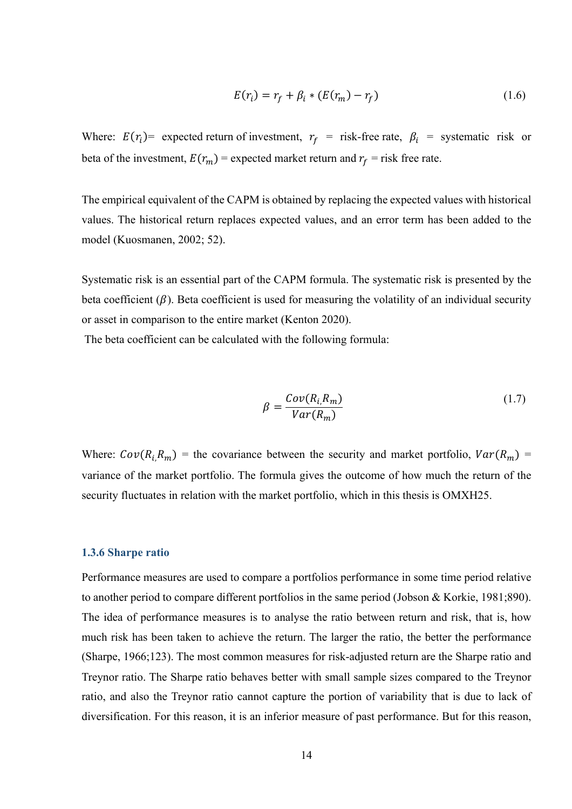$$
E(r_i) = r_f + \beta_i * (E(r_m) - r_f)
$$
\n
$$
(1.6)
$$

Where:  $E(r_i)$  = expected return of investment,  $r_f$  = risk-free rate,  $\beta_i$  = systematic risk or beta of the investment,  $E(r_m)$  = expected market return and  $r_f$  = risk free rate.

The empirical equivalent of the CAPM is obtained by replacing the expected values with historical values. The historical return replaces expected values, and an error term has been added to the model (Kuosmanen, 2002; 52).

Systematic risk is an essential part of the CAPM formula. The systematic risk is presented by the beta coefficient  $(\beta)$ . Beta coefficient is used for measuring the volatility of an individual security or asset in comparison to the entire market (Kenton 2020).

The beta coefficient can be calculated with the following formula:

$$
\beta = \frac{Cov(R_i, R_m)}{Var(R_m)}\tag{1.7}
$$

Where:  $Cov(R_i, R_m)$  = the covariance between the security and market portfolio,  $Var(R_m)$  = variance of the market portfolio. The formula gives the outcome of how much the return of the security fluctuates in relation with the market portfolio, which in this thesis is OMXH25.

#### **1.3.6 Sharpe ratio**

Performance measures are used to compare a portfolios performance in some time period relative to another period to compare different portfolios in the same period (Jobson & Korkie, 1981;890). The idea of performance measures is to analyse the ratio between return and risk, that is, how much risk has been taken to achieve the return. The larger the ratio, the better the performance (Sharpe, 1966;123). The most common measures for risk-adjusted return are the Sharpe ratio and Treynor ratio. The Sharpe ratio behaves better with small sample sizes compared to the Treynor ratio, and also the Treynor ratio cannot capture the portion of variability that is due to lack of diversification. For this reason, it is an inferior measure of past performance. But for this reason,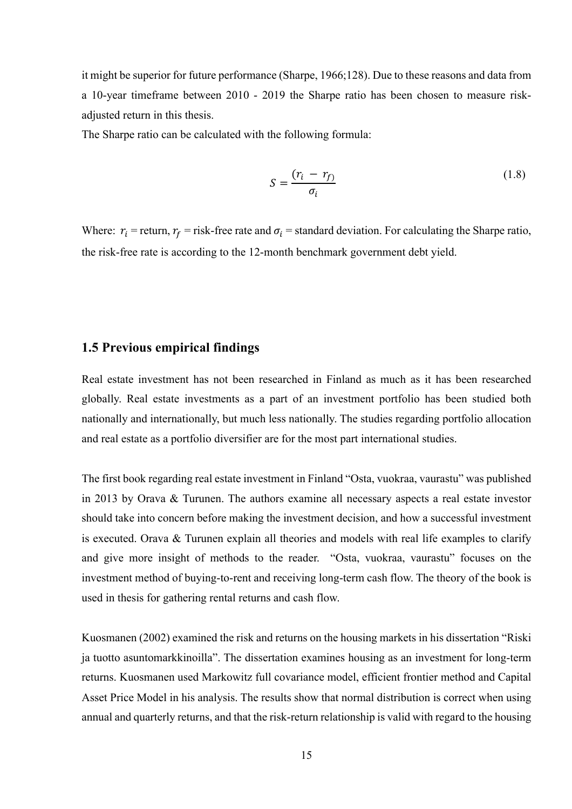it might be superior for future performance (Sharpe, 1966;128). Due to these reasons and data from a 10-year timeframe between 2010 - 2019 the Sharpe ratio has been chosen to measure riskadjusted return in this thesis.

The Sharpe ratio can be calculated with the following formula:

$$
S = \frac{(r_i - r_f)}{\sigma_i} \tag{1.8}
$$

Where:  $r_i$  = return,  $r_f$  = risk-free rate and  $\sigma_i$  = standard deviation. For calculating the Sharpe ratio, the risk-free rate is according to the 12-month benchmark government debt yield.

#### **1.5 Previous empirical findings**

Real estate investment has not been researched in Finland as much as it has been researched globally. Real estate investments as a part of an investment portfolio has been studied both nationally and internationally, but much less nationally. The studies regarding portfolio allocation and real estate as a portfolio diversifier are for the most part international studies.

The first book regarding real estate investment in Finland "Osta, vuokraa, vaurastu" was published in 2013 by Orava & Turunen. The authors examine all necessary aspects a real estate investor should take into concern before making the investment decision, and how a successful investment is executed. Orava & Turunen explain all theories and models with real life examples to clarify and give more insight of methods to the reader. "Osta, vuokraa, vaurastu" focuses on the investment method of buying-to-rent and receiving long-term cash flow. The theory of the book is used in thesis for gathering rental returns and cash flow.

Kuosmanen (2002) examined the risk and returns on the housing markets in his dissertation "Riski ja tuotto asuntomarkkinoilla". The dissertation examines housing as an investment for long-term returns. Kuosmanen used Markowitz full covariance model, efficient frontier method and Capital Asset Price Model in his analysis. The results show that normal distribution is correct when using annual and quarterly returns, and that the risk-return relationship is valid with regard to the housing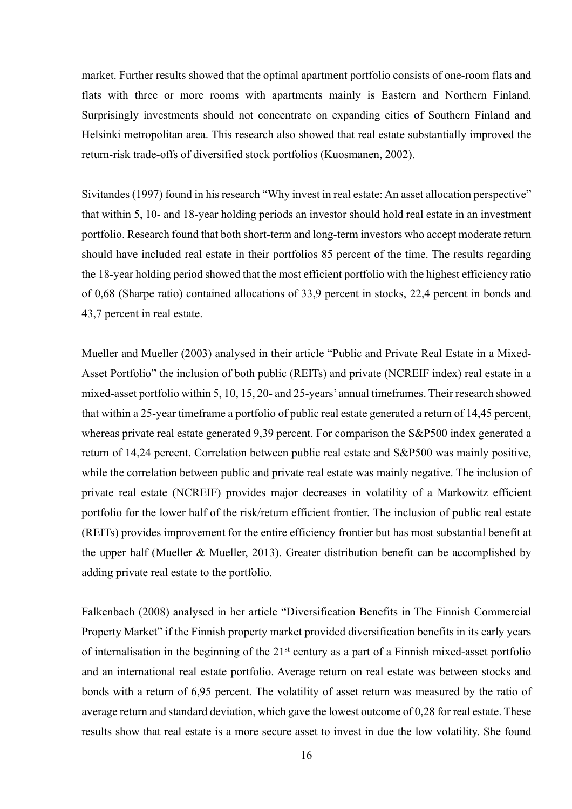market. Further results showed that the optimal apartment portfolio consists of one-room flats and flats with three or more rooms with apartments mainly is Eastern and Northern Finland. Surprisingly investments should not concentrate on expanding cities of Southern Finland and Helsinki metropolitan area. This research also showed that real estate substantially improved the return-risk trade-offs of diversified stock portfolios (Kuosmanen, 2002).

Sivitandes (1997) found in his research "Why invest in real estate: An asset allocation perspective" that within 5, 10- and 18-year holding periods an investor should hold real estate in an investment portfolio. Research found that both short-term and long-term investors who accept moderate return should have included real estate in their portfolios 85 percent of the time. The results regarding the 18-year holding period showed that the most efficient portfolio with the highest efficiency ratio of 0,68 (Sharpe ratio) contained allocations of 33,9 percent in stocks, 22,4 percent in bonds and 43,7 percent in real estate.

Mueller and Mueller (2003) analysed in their article "Public and Private Real Estate in a Mixed-Asset Portfolio" the inclusion of both public (REITs) and private (NCREIF index) real estate in a mixed-asset portfolio within 5, 10, 15, 20- and 25-years' annual timeframes. Their research showed that within a 25-year timeframe a portfolio of public real estate generated a return of 14,45 percent, whereas private real estate generated 9,39 percent. For comparison the S&P500 index generated a return of 14,24 percent. Correlation between public real estate and S&P500 was mainly positive, while the correlation between public and private real estate was mainly negative. The inclusion of private real estate (NCREIF) provides major decreases in volatility of a Markowitz efficient portfolio for the lower half of the risk/return efficient frontier. The inclusion of public real estate (REITs) provides improvement for the entire efficiency frontier but has most substantial benefit at the upper half (Mueller & Mueller, 2013). Greater distribution benefit can be accomplished by adding private real estate to the portfolio.

Falkenbach (2008) analysed in her article "Diversification Benefits in The Finnish Commercial Property Market" if the Finnish property market provided diversification benefits in its early years of internalisation in the beginning of the  $21<sup>st</sup>$  century as a part of a Finnish mixed-asset portfolio and an international real estate portfolio. Average return on real estate was between stocks and bonds with a return of 6,95 percent. The volatility of asset return was measured by the ratio of average return and standard deviation, which gave the lowest outcome of 0,28 for real estate. These results show that real estate is a more secure asset to invest in due the low volatility. She found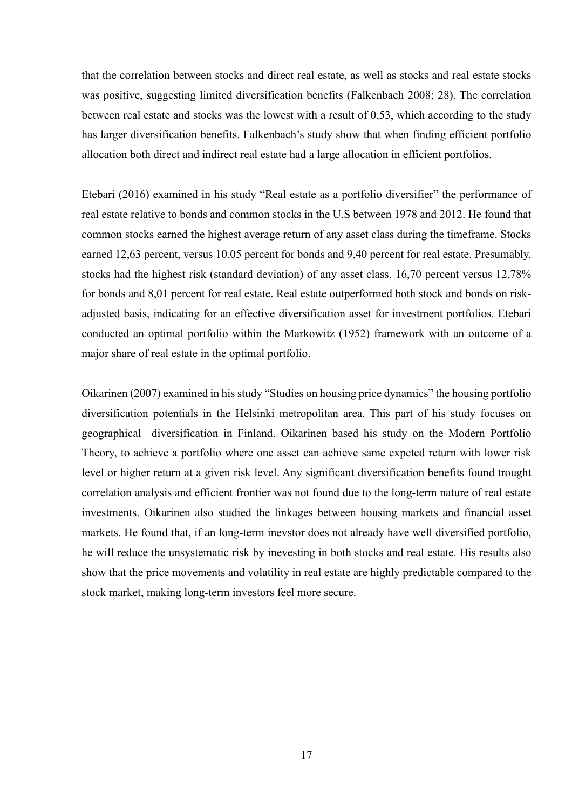that the correlation between stocks and direct real estate, as well as stocks and real estate stocks was positive, suggesting limited diversification benefits (Falkenbach 2008; 28). The correlation between real estate and stocks was the lowest with a result of 0,53, which according to the study has larger diversification benefits. Falkenbach's study show that when finding efficient portfolio allocation both direct and indirect real estate had a large allocation in efficient portfolios.

Etebari (2016) examined in his study "Real estate as a portfolio diversifier" the performance of real estate relative to bonds and common stocks in the U.S between 1978 and 2012. He found that common stocks earned the highest average return of any asset class during the timeframe. Stocks earned 12,63 percent, versus 10,05 percent for bonds and 9,40 percent for real estate. Presumably, stocks had the highest risk (standard deviation) of any asset class, 16,70 percent versus 12,78% for bonds and 8,01 percent for real estate. Real estate outperformed both stock and bonds on riskadjusted basis, indicating for an effective diversification asset for investment portfolios. Etebari conducted an optimal portfolio within the Markowitz (1952) framework with an outcome of a major share of real estate in the optimal portfolio.

Oikarinen (2007) examined in his study "Studies on housing price dynamics" the housing portfolio diversification potentials in the Helsinki metropolitan area. This part of his study focuses on geographical diversification in Finland. Oikarinen based his study on the Modern Portfolio Theory, to achieve a portfolio where one asset can achieve same expeted return with lower risk level or higher return at a given risk level. Any significant diversification benefits found trought correlation analysis and efficient frontier was not found due to the long-term nature of real estate investments. Oikarinen also studied the linkages between housing markets and financial asset markets. He found that, if an long-term inevstor does not already have well diversified portfolio, he will reduce the unsystematic risk by inevesting in both stocks and real estate. His results also show that the price movements and volatility in real estate are highly predictable compared to the stock market, making long-term investors feel more secure.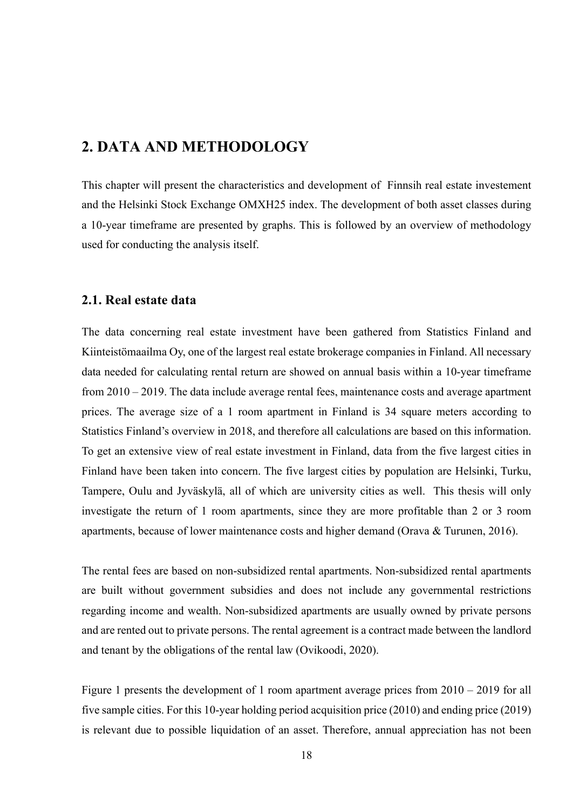## **2. DATA AND METHODOLOGY**

This chapter will present the characteristics and development of Finnsih real estate investement and the Helsinki Stock Exchange OMXH25 index. The development of both asset classes during a 10-year timeframe are presented by graphs. This is followed by an overview of methodology used for conducting the analysis itself.

#### **2.1. Real estate data**

The data concerning real estate investment have been gathered from Statistics Finland and Kiinteistömaailma Oy, one of the largest real estate brokerage companies in Finland. All necessary data needed for calculating rental return are showed on annual basis within a 10-year timeframe from 2010 – 2019. The data include average rental fees, maintenance costs and average apartment prices. The average size of a 1 room apartment in Finland is 34 square meters according to Statistics Finland's overview in 2018, and therefore all calculations are based on this information. To get an extensive view of real estate investment in Finland, data from the five largest cities in Finland have been taken into concern. The five largest cities by population are Helsinki, Turku, Tampere, Oulu and Jyväskylä, all of which are university cities as well. This thesis will only investigate the return of 1 room apartments, since they are more profitable than 2 or 3 room apartments, because of lower maintenance costs and higher demand (Orava & Turunen, 2016).

The rental fees are based on non-subsidized rental apartments. Non-subsidized rental apartments are built without government subsidies and does not include any governmental restrictions regarding income and wealth. Non-subsidized apartments are usually owned by private persons and are rented out to private persons. The rental agreement is a contract made between the landlord and tenant by the obligations of the rental law (Ovikoodi, 2020).

Figure 1 presents the development of 1 room apartment average prices from 2010 – 2019 for all five sample cities. For this 10-year holding period acquisition price (2010) and ending price (2019) is relevant due to possible liquidation of an asset. Therefore, annual appreciation has not been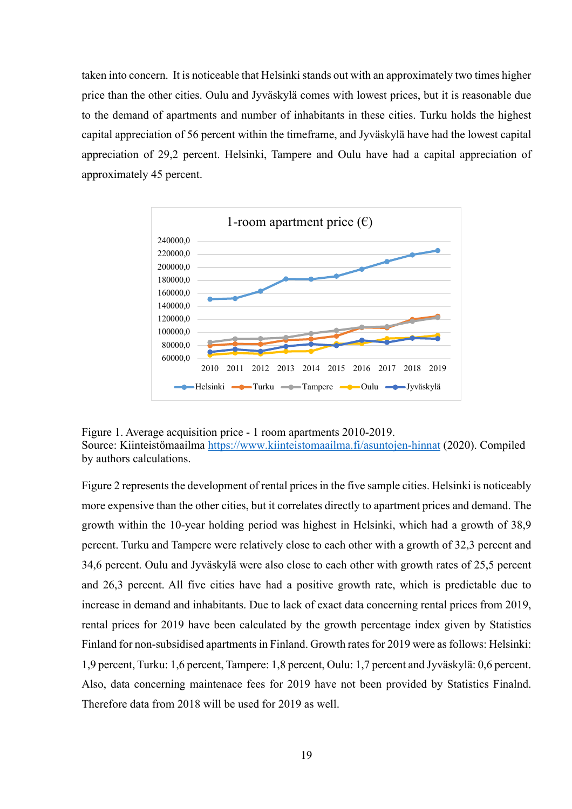taken into concern. It is noticeable that Helsinki stands out with an approximately two times higher price than the other cities. Oulu and Jyväskylä comes with lowest prices, but it is reasonable due to the demand of apartments and number of inhabitants in these cities. Turku holds the highest capital appreciation of 56 percent within the timeframe, and Jyväskylä have had the lowest capital appreciation of 29,2 percent. Helsinki, Tampere and Oulu have had a capital appreciation of approximately 45 percent.



Figure 1. Average acquisition price - 1 room apartments 2010-2019. Source: Kiinteistömaailma https://www.kiinteistomaailma.fi/asuntojen-hinnat (2020). Compiled by authors calculations.

Figure 2 represents the development of rental prices in the five sample cities. Helsinki is noticeably more expensive than the other cities, but it correlates directly to apartment prices and demand. The growth within the 10-year holding period was highest in Helsinki, which had a growth of 38,9 percent. Turku and Tampere were relatively close to each other with a growth of 32,3 percent and 34,6 percent. Oulu and Jyväskylä were also close to each other with growth rates of 25,5 percent and 26,3 percent. All five cities have had a positive growth rate, which is predictable due to increase in demand and inhabitants. Due to lack of exact data concerning rental prices from 2019, rental prices for 2019 have been calculated by the growth percentage index given by Statistics Finland for non-subsidised apartments in Finland. Growth rates for 2019 were as follows: Helsinki: 1,9 percent, Turku: 1,6 percent, Tampere: 1,8 percent, Oulu: 1,7 percent and Jyväskylä: 0,6 percent. Also, data concerning maintenace fees for 2019 have not been provided by Statistics Finalnd. Therefore data from 2018 will be used for 2019 as well.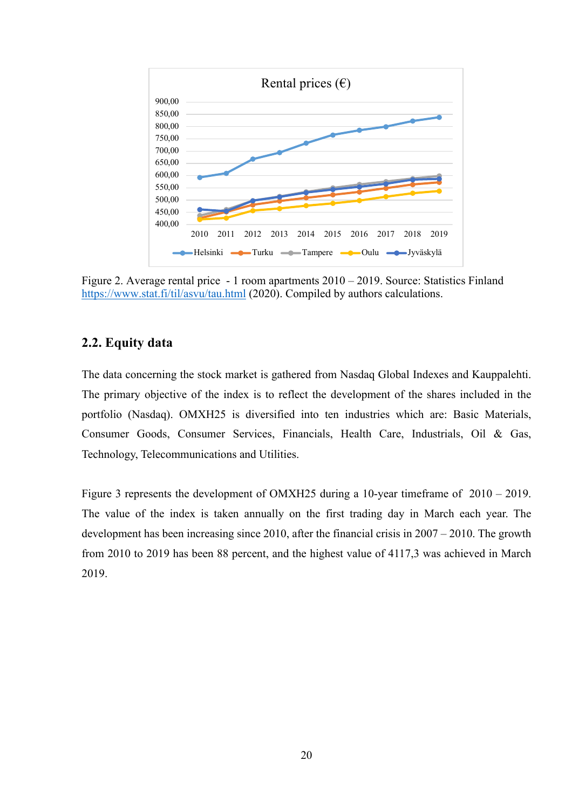

Figure 2. Average rental price - 1 room apartments 2010 – 2019. Source: Statistics Finland https://www.stat.fi/til/asvu/tau.html (2020). Compiled by authors calculations.

### **2.2. Equity data**

The data concerning the stock market is gathered from Nasdaq Global Indexes and Kauppalehti. The primary objective of the index is to reflect the development of the shares included in the portfolio (Nasdaq). OMXH25 is diversified into ten industries which are: Basic Materials, Consumer Goods, Consumer Services, Financials, Health Care, Industrials, Oil & Gas, Technology, Telecommunications and Utilities.

Figure 3 represents the development of OMXH25 during a 10-year timeframe of 2010 – 2019. The value of the index is taken annually on the first trading day in March each year. The development has been increasing since 2010, after the financial crisis in 2007 – 2010. The growth from 2010 to 2019 has been 88 percent, and the highest value of 4117,3 was achieved in March 2019.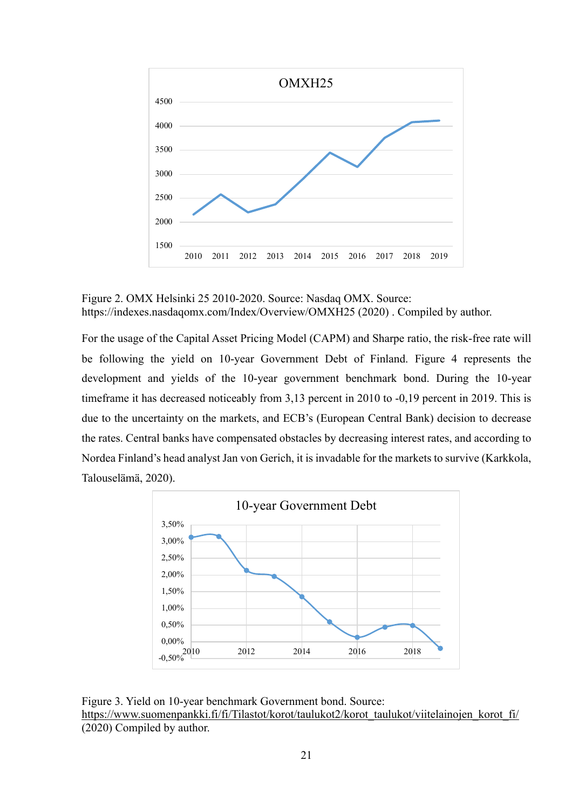

Figure 2. OMX Helsinki 25 2010-2020. Source: Nasdaq OMX. Source: https://indexes.nasdaqomx.com/Index/Overview/OMXH25 (2020) . Compiled by author.

For the usage of the Capital Asset Pricing Model (CAPM) and Sharpe ratio, the risk-free rate will be following the yield on 10-year Government Debt of Finland. Figure 4 represents the development and yields of the 10-year government benchmark bond. During the 10-year timeframe it has decreased noticeably from 3,13 percent in 2010 to -0,19 percent in 2019. This is due to the uncertainty on the markets, and ECB's (European Central Bank) decision to decrease the rates. Central banks have compensated obstacles by decreasing interest rates, and according to Nordea Finland's head analyst Jan von Gerich, it is invadable for the markets to survive (Karkkola, Talouselämä, 2020).



Figure 3. Yield on 10-year benchmark Government bond. Source: https://www.suomenpankki.fi/fi/Tilastot/korot/taulukot2/korot\_taulukot/viitelainojen\_korot\_fi/ (2020) Compiled by author.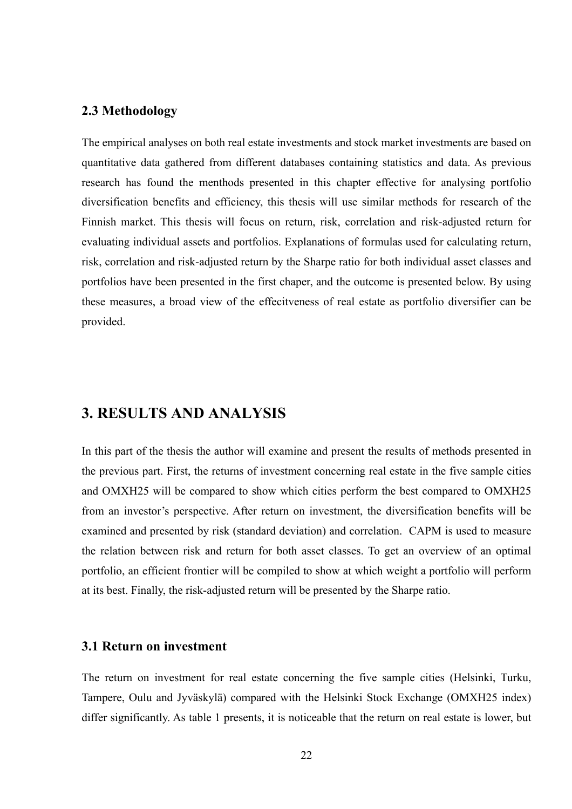#### **2.3 Methodology**

The empirical analyses on both real estate investments and stock market investments are based on quantitative data gathered from different databases containing statistics and data. As previous research has found the menthods presented in this chapter effective for analysing portfolio diversification benefits and efficiency, this thesis will use similar methods for research of the Finnish market. This thesis will focus on return, risk, correlation and risk-adjusted return for evaluating individual assets and portfolios. Explanations of formulas used for calculating return, risk, correlation and risk-adjusted return by the Sharpe ratio for both individual asset classes and portfolios have been presented in the first chaper, and the outcome is presented below. By using these measures, a broad view of the effecitveness of real estate as portfolio diversifier can be provided.

## **3. RESULTS AND ANALYSIS**

In this part of the thesis the author will examine and present the results of methods presented in the previous part. First, the returns of investment concerning real estate in the five sample cities and OMXH25 will be compared to show which cities perform the best compared to OMXH25 from an investor's perspective. After return on investment, the diversification benefits will be examined and presented by risk (standard deviation) and correlation. CAPM is used to measure the relation between risk and return for both asset classes. To get an overview of an optimal portfolio, an efficient frontier will be compiled to show at which weight a portfolio will perform at its best. Finally, the risk-adjusted return will be presented by the Sharpe ratio.

### **3.1 Return on investment**

The return on investment for real estate concerning the five sample cities (Helsinki, Turku, Tampere, Oulu and Jyväskylä) compared with the Helsinki Stock Exchange (OMXH25 index) differ significantly. As table 1 presents, it is noticeable that the return on real estate is lower, but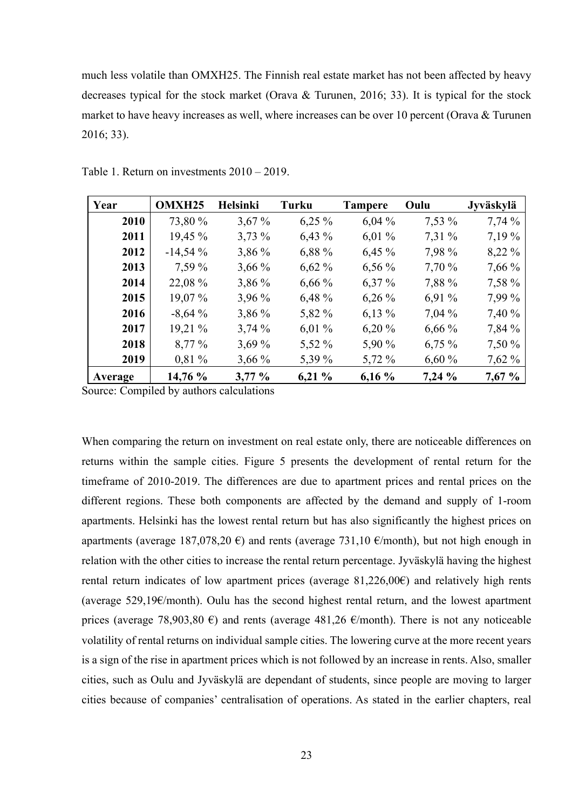much less volatile than OMXH25. The Finnish real estate market has not been affected by heavy decreases typical for the stock market (Orava & Turunen, 2016; 33). It is typical for the stock market to have heavy increases as well, where increases can be over 10 percent (Orava & Turunen 2016; 33).

| Year    | <b>OMXH25</b> | <b>Helsinki</b> | Turku    | <b>Tampere</b> | Oulu     | Jyväskylä |
|---------|---------------|-----------------|----------|----------------|----------|-----------|
| 2010    | 73,80 %       | $3,67\%$        | $6,25\%$ | 6,04%          | $7,53\%$ | 7,74%     |
| 2011    | 19,45 %       | $3,73\%$        | $6,43\%$ | $6,01\%$       | 7,31 %   | 7,19 %    |
| 2012    | $-14,54%$     | $3,86\%$        | 6,88 %   | $6,45\%$       | 7,98 %   | 8,22 %    |
| 2013    | 7,59 %        | $3,66\%$        | $6,62\%$ | $6,56\%$       | 7,70 %   | 7,66 %    |
| 2014    | 22,08 %       | 3,86 %          | $6,66\%$ | $6,37\%$       | 7,88 %   | 7,58 %    |
| 2015    | 19,07 %       | 3,96 %          | 6,48%    | $6,26\%$       | 6,91%    | 7,99 %    |
| 2016    | $-8,64%$      | 3,86 %          | 5,82 %   | $6,13\%$       | $7,04\%$ | 7,40 %    |
| 2017    | 19,21 %       | 3,74%           | $6,01\%$ | 6,20%          | $6,66\%$ | 7,84 %    |
| 2018    | 8,77 %        | 3,69%           | 5,52 %   | 5,90 %         | $6,75\%$ | 7,50 %    |
| 2019    | $0.81\%$      | $3,66\%$        | 5,39 %   | 5,72 %         | 6,60%    | $7,62\%$  |
| Average | 14,76 %       | $3,77\%$        | $6,21\%$ | 6,16%          | 7,24%    | 7,67%     |

Table 1. Return on investments 2010 – 2019.

Source: Compiled by authors calculations

When comparing the return on investment on real estate only, there are noticeable differences on returns within the sample cities. Figure 5 presents the development of rental return for the timeframe of 2010-2019. The differences are due to apartment prices and rental prices on the different regions. These both components are affected by the demand and supply of 1-room apartments. Helsinki has the lowest rental return but has also significantly the highest prices on apartments (average 187,078,20  $\epsilon$ ) and rents (average 731,10  $\epsilon$ /month), but not high enough in relation with the other cities to increase the rental return percentage. Jyväskylä having the highest rental return indicates of low apartment prices (average  $81,226,00 \in$ ) and relatively high rents (average  $529,19 \in \mathbb{R}$ ) Culu has the second highest rental return, and the lowest apartment prices (average 78,903,80  $\epsilon$ ) and rents (average 481,26  $\epsilon$ /month). There is not any noticeable volatility of rental returns on individual sample cities. The lowering curve at the more recent years is a sign of the rise in apartment prices which is not followed by an increase in rents. Also, smaller cities, such as Oulu and Jyväskylä are dependant of students, since people are moving to larger cities because of companies' centralisation of operations. As stated in the earlier chapters, real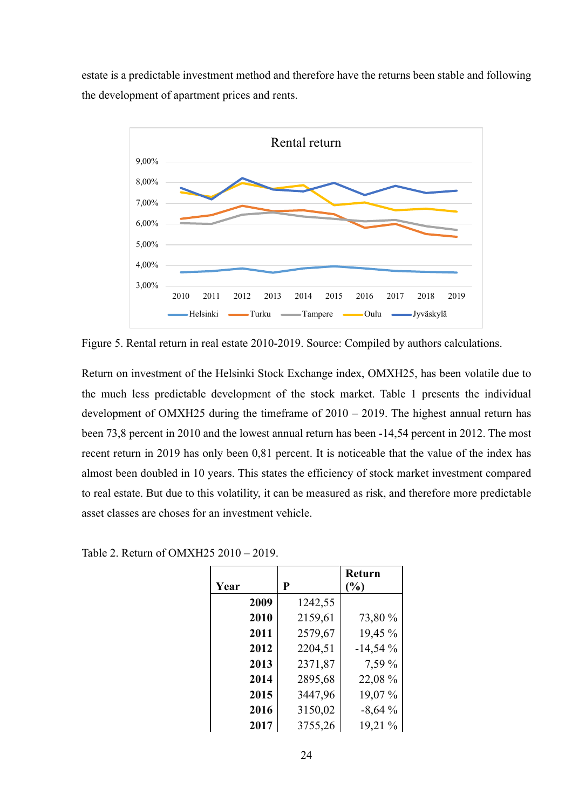estate is a predictable investment method and therefore have the returns been stable and following the development of apartment prices and rents.



Figure 5. Rental return in real estate 2010-2019. Source: Compiled by authors calculations.

Return on investment of the Helsinki Stock Exchange index, OMXH25, has been volatile due to the much less predictable development of the stock market. Table 1 presents the individual development of OMXH25 during the timeframe of 2010 – 2019. The highest annual return has been 73,8 percent in 2010 and the lowest annual return has been -14,54 percent in 2012. The most recent return in 2019 has only been 0,81 percent. It is noticeable that the value of the index has almost been doubled in 10 years. This states the efficiency of stock market investment compared to real estate. But due to this volatility, it can be measured as risk, and therefore more predictable asset classes are choses for an investment vehicle.

| Year |      | P       | Return<br>(%) |
|------|------|---------|---------------|
|      | 2009 | 1242,55 |               |
|      | 2010 | 2159,61 | 73,80 %       |
|      | 2011 | 2579,67 | 19,45 %       |
|      | 2012 | 2204,51 | $-14,54%$     |
|      | 2013 | 2371,87 | 7,59 %        |
|      | 2014 | 2895,68 | 22,08 %       |
|      | 2015 | 3447,96 | 19,07%        |
|      | 2016 | 3150,02 | $-8,64%$      |
|      | 2017 | 3755,26 | 19,21 %       |

Table 2. Return of OMXH25 2010 – 2019.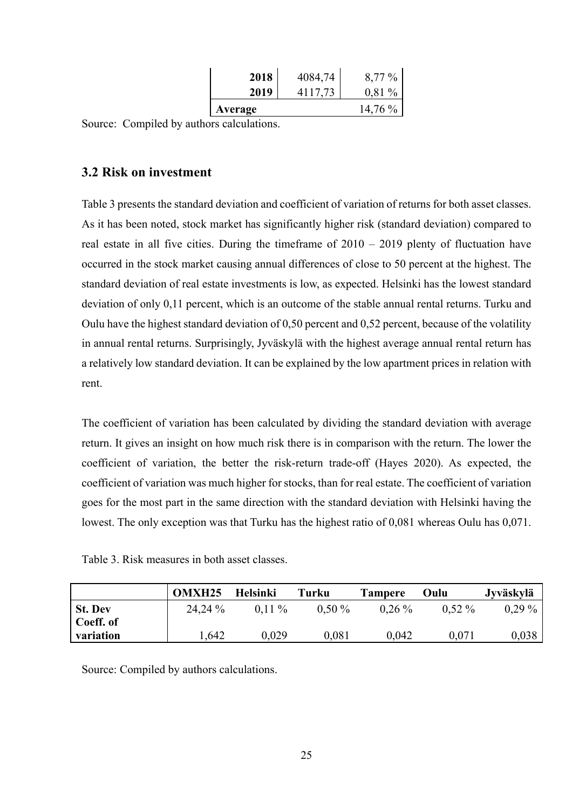| 2018    | 4084,74 | $8,77\%$  |
|---------|---------|-----------|
| 2019    | 4117,73 | $0.81\%$  |
| Average |         | $14,76\%$ |

Source: Compiled by authors calculations.

## **3.2 Risk on investment**

Table 3 presents the standard deviation and coefficient of variation of returns for both asset classes. As it has been noted, stock market has significantly higher risk (standard deviation) compared to real estate in all five cities. During the timeframe of 2010 – 2019 plenty of fluctuation have occurred in the stock market causing annual differences of close to 50 percent at the highest. The standard deviation of real estate investments is low, as expected. Helsinki has the lowest standard deviation of only 0,11 percent, which is an outcome of the stable annual rental returns. Turku and Oulu have the highest standard deviation of 0,50 percent and 0,52 percent, because of the volatility in annual rental returns. Surprisingly, Jyväskylä with the highest average annual rental return has a relatively low standard deviation. It can be explained by the low apartment prices in relation with rent.

The coefficient of variation has been calculated by dividing the standard deviation with average return. It gives an insight on how much risk there is in comparison with the return. The lower the coefficient of variation, the better the risk-return trade-off (Hayes 2020). As expected, the coefficient of variation was much higher for stocks, than for real estate. The coefficient of variation goes for the most part in the same direction with the standard deviation with Helsinki having the lowest. The only exception was that Turku has the highest ratio of 0,081 whereas Oulu has 0,071.

| Table 3. Risk measures in both asset classes. |
|-----------------------------------------------|
|-----------------------------------------------|

|                | <b>OMXH25</b> | <b>Helsinki</b> | Turku     | <b>Tampere</b> | Oulu     | Jyväskylä |
|----------------|---------------|-----------------|-----------|----------------|----------|-----------|
| <b>St. Dev</b> | 24,24 %       | $0.11\%$        | $0.50\%$  | $0.26\%$       | $0.52\%$ | $0.29\%$  |
| Coeff. of      |               |                 |           |                |          |           |
| variation      | .642          | 0,029           | $0,\!081$ | 0.042          | 0,071    | 0,038     |

Source: Compiled by authors calculations.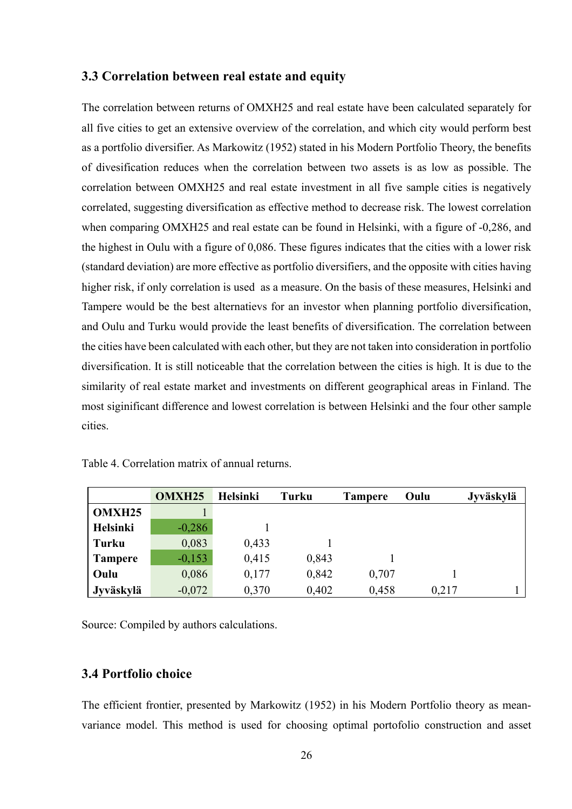#### **3.3 Correlation between real estate and equity**

The correlation between returns of OMXH25 and real estate have been calculated separately for all five cities to get an extensive overview of the correlation, and which city would perform best as a portfolio diversifier. As Markowitz (1952) stated in his Modern Portfolio Theory, the benefits of divesification reduces when the correlation between two assets is as low as possible. The correlation between OMXH25 and real estate investment in all five sample cities is negatively correlated, suggesting diversification as effective method to decrease risk. The lowest correlation when comparing OMXH25 and real estate can be found in Helsinki, with a figure of -0,286, and the highest in Oulu with a figure of 0,086. These figures indicates that the cities with a lower risk (standard deviation) are more effective as portfolio diversifiers, and the opposite with cities having higher risk, if only correlation is used as a measure. On the basis of these measures, Helsinki and Tampere would be the best alternatievs for an investor when planning portfolio diversification, and Oulu and Turku would provide the least benefits of diversification. The correlation between the cities have been calculated with each other, but they are not taken into consideration in portfolio diversification. It is still noticeable that the correlation between the cities is high. It is due to the similarity of real estate market and investments on different geographical areas in Finland. The most siginificant difference and lowest correlation is between Helsinki and the four other sample cities.

|                | <b>OMXH25</b> | <b>Helsinki</b> | <b>Turku</b> | <b>Tampere</b> | Oulu  | Jyväskylä |
|----------------|---------------|-----------------|--------------|----------------|-------|-----------|
| <b>OMXH25</b>  |               |                 |              |                |       |           |
| Helsinki       | $-0,286$      |                 |              |                |       |           |
| <b>Turku</b>   | 0,083         | 0,433           |              |                |       |           |
| <b>Tampere</b> | $-0,153$      | 0,415           | 0,843        |                |       |           |
| Oulu           | 0,086         | 0,177           | 0,842        | 0,707          |       |           |
| Jyväskylä      | $-0,072$      | 0,370           | 0,402        | 0,458          | 0,217 |           |

Table 4. Correlation matrix of annual returns.

Source: Compiled by authors calculations.

### **3.4 Portfolio choice**

The efficient frontier, presented by Markowitz (1952) in his Modern Portfolio theory as meanvariance model. This method is used for choosing optimal portofolio construction and asset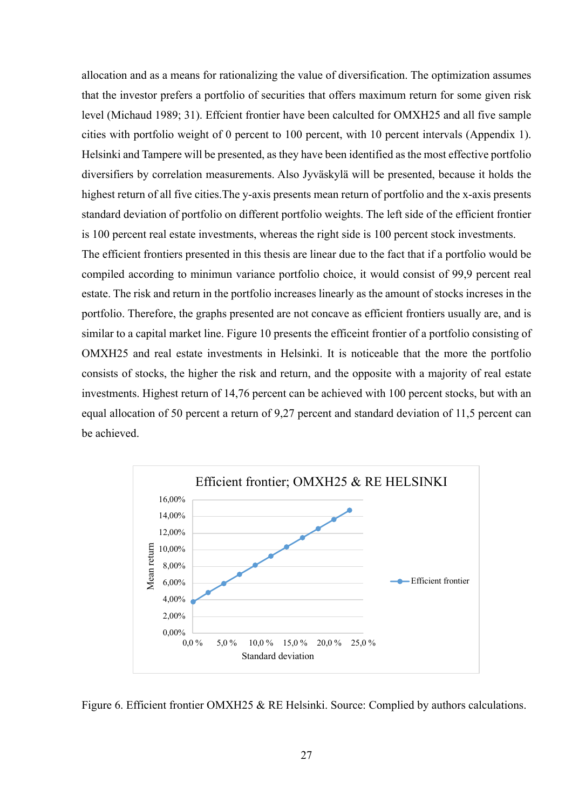allocation and as a means for rationalizing the value of diversification. The optimization assumes that the investor prefers a portfolio of securities that offers maximum return for some given risk level (Michaud 1989; 31). Effcient frontier have been calculted for OMXH25 and all five sample cities with portfolio weight of 0 percent to 100 percent, with 10 percent intervals (Appendix 1). Helsinki and Tampere will be presented, as they have been identified as the most effective portfolio diversifiers by correlation measurements. Also Jyväskylä will be presented, because it holds the highest return of all five cities.The y-axis presents mean return of portfolio and the x-axis presents standard deviation of portfolio on different portfolio weights. The left side of the efficient frontier is 100 percent real estate investments, whereas the right side is 100 percent stock investments.

The efficient frontiers presented in this thesis are linear due to the fact that if a portfolio would be compiled according to minimun variance portfolio choice, it would consist of 99,9 percent real estate. The risk and return in the portfolio increases linearly as the amount of stocks increses in the portfolio. Therefore, the graphs presented are not concave as efficient frontiers usually are, and is similar to a capital market line. Figure 10 presents the efficeint frontier of a portfolio consisting of OMXH25 and real estate investments in Helsinki. It is noticeable that the more the portfolio consists of stocks, the higher the risk and return, and the opposite with a majority of real estate investments. Highest return of 14,76 percent can be achieved with 100 percent stocks, but with an equal allocation of 50 percent a return of 9,27 percent and standard deviation of 11,5 percent can be achieved.



Figure 6. Efficient frontier OMXH25 & RE Helsinki. Source: Complied by authors calculations.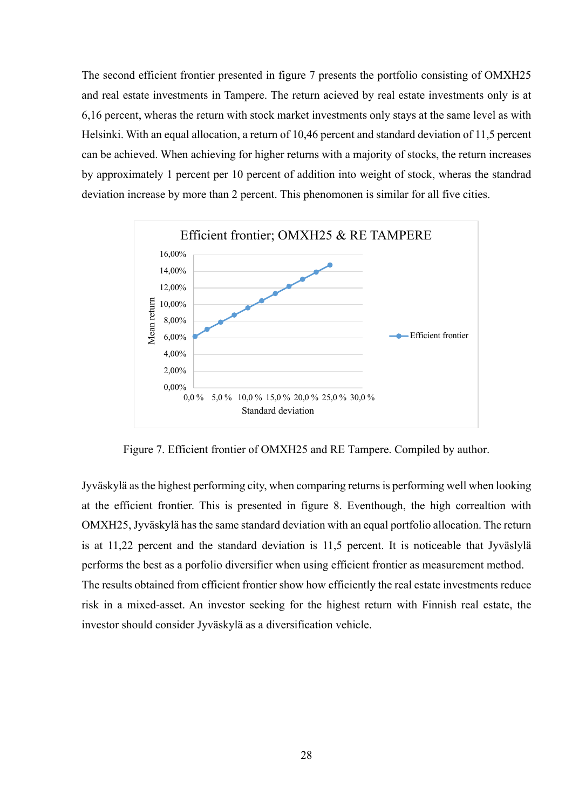The second efficient frontier presented in figure 7 presents the portfolio consisting of OMXH25 and real estate investments in Tampere. The return acieved by real estate investments only is at 6,16 percent, wheras the return with stock market investments only stays at the same level as with Helsinki. With an equal allocation, a return of 10,46 percent and standard deviation of 11,5 percent can be achieved. When achieving for higher returns with a majority of stocks, the return increases by approximately 1 percent per 10 percent of addition into weight of stock, wheras the standrad deviation increase by more than 2 percent. This phenomonen is similar for all five cities.



Figure 7. Efficient frontier of OMXH25 and RE Tampere. Compiled by author.

Jyväskylä as the highest performing city, when comparing returns is performing well when looking at the efficient frontier. This is presented in figure 8. Eventhough, the high correaltion with OMXH25, Jyväskylä has the same standard deviation with an equal portfolio allocation. The return is at 11,22 percent and the standard deviation is 11,5 percent. It is noticeable that Jyväslylä performs the best as a porfolio diversifier when using efficient frontier as measurement method. The results obtained from efficient frontier show how efficiently the real estate investments reduce risk in a mixed-asset. An investor seeking for the highest return with Finnish real estate, the investor should consider Jyväskylä as a diversification vehicle.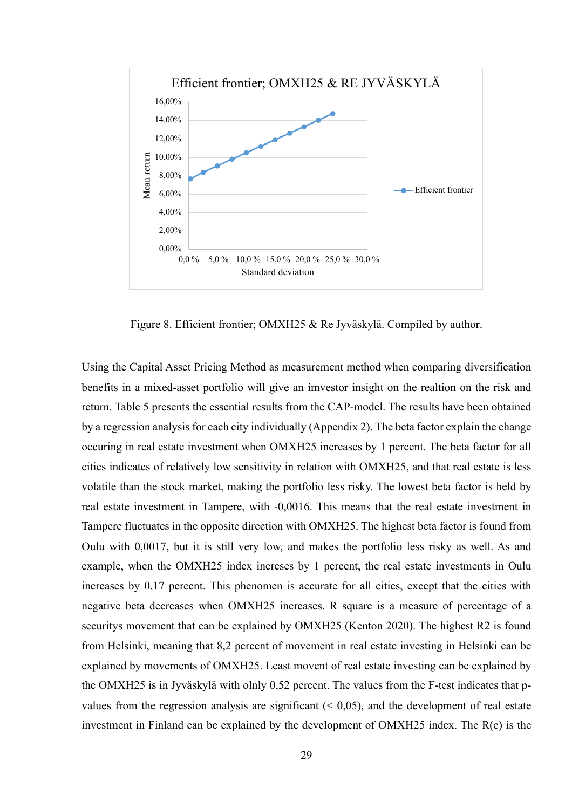

Figure 8. Efficient frontier; OMXH25 & Re Jyväskylä. Compiled by author.

Using the Capital Asset Pricing Method as measurement method when comparing diversification benefits in a mixed-asset portfolio will give an imvestor insight on the realtion on the risk and return. Table 5 presents the essential results from the CAP-model. The results have been obtained by a regression analysis for each city individually (Appendix 2). The beta factor explain the change occuring in real estate investment when OMXH25 increases by 1 percent. The beta factor for all cities indicates of relatively low sensitivity in relation with OMXH25, and that real estate is less volatile than the stock market, making the portfolio less risky. The lowest beta factor is held by real estate investment in Tampere, with -0,0016. This means that the real estate investment in Tampere fluctuates in the opposite direction with OMXH25. The highest beta factor is found from Oulu with 0,0017, but it is still very low, and makes the portfolio less risky as well. As and example, when the OMXH25 index increses by 1 percent, the real estate investments in Oulu increases by 0,17 percent. This phenomen is accurate for all cities, except that the cities with negative beta decreases when OMXH25 increases. R square is a measure of percentage of a securitys movement that can be explained by OMXH25 (Kenton 2020). The highest R2 is found from Helsinki, meaning that 8,2 percent of movement in real estate investing in Helsinki can be explained by movements of OMXH25. Least movent of real estate investing can be explained by the OMXH25 is in Jyväskylä with olnly 0,52 percent. The values from the F-test indicates that pvalues from the regression analysis are significant  $( $0.05$ ), and the development of real estate$ investment in Finland can be explained by the development of OMXH25 index. The R(e) is the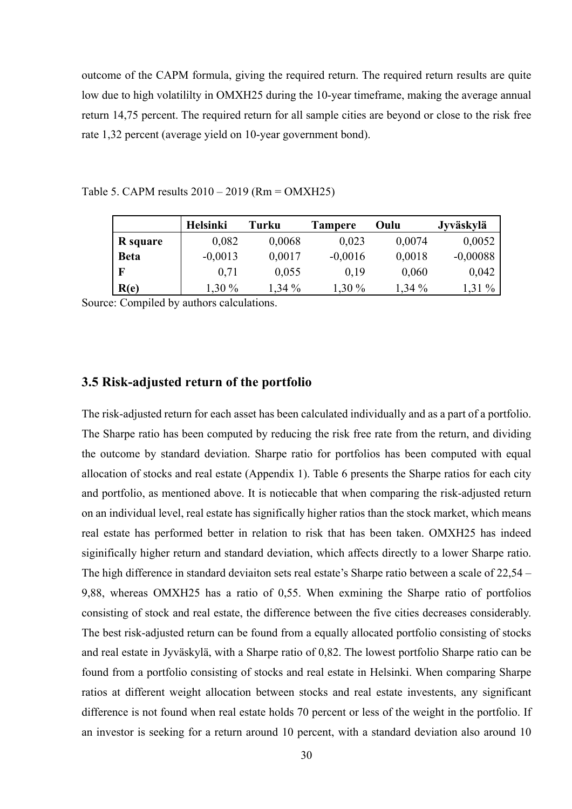outcome of the CAPM formula, giving the required return. The required return results are quite low due to high volatililty in OMXH25 during the 10-year timeframe, making the average annual return 14,75 percent. The required return for all sample cities are beyond or close to the risk free rate 1,32 percent (average yield on 10-year government bond).

| Table 5. CAPM results $2010 - 2019$ (Rm = OMXH25) |  |
|---------------------------------------------------|--|
|---------------------------------------------------|--|

|             | Helsinki  | Turku    | <b>Tampere</b> | Oulu   | Jyväskylä  |
|-------------|-----------|----------|----------------|--------|------------|
| R square    | 0,082     | 0,0068   | 0,023          | 0,0074 | 0,0052     |
| <b>Beta</b> | $-0,0013$ | 0,0017   | $-0,0016$      | 0,0018 | $-0,00088$ |
| F           | 0.71      | 0,055    | 0,19           | 0,060  | 0,042      |
| R(e)        | 1,30 %    | $1,34\%$ | $1,30\%$       | 1,34 % | 1,31 %     |

Source: Compiled by authors calculations.

#### **3.5 Risk-adjusted return of the portfolio**

The risk-adjusted return for each asset has been calculated individually and as a part of a portfolio. The Sharpe ratio has been computed by reducing the risk free rate from the return, and dividing the outcome by standard deviation. Sharpe ratio for portfolios has been computed with equal allocation of stocks and real estate (Appendix 1). Table 6 presents the Sharpe ratios for each city and portfolio, as mentioned above. It is notiecable that when comparing the risk-adjusted return on an individual level, real estate has significally higher ratios than the stock market, which means real estate has performed better in relation to risk that has been taken. OMXH25 has indeed siginifically higher return and standard deviation, which affects directly to a lower Sharpe ratio. The high difference in standard deviaiton sets real estate's Sharpe ratio between a scale of 22,54 – 9,88, whereas OMXH25 has a ratio of 0,55. When exmining the Sharpe ratio of portfolios consisting of stock and real estate, the difference between the five cities decreases considerably. The best risk-adjusted return can be found from a equally allocated portfolio consisting of stocks and real estate in Jyväskylä, with a Sharpe ratio of 0,82. The lowest portfolio Sharpe ratio can be found from a portfolio consisting of stocks and real estate in Helsinki. When comparing Sharpe ratios at different weight allocation between stocks and real estate investents, any significant difference is not found when real estate holds 70 percent or less of the weight in the portfolio. If an investor is seeking for a return around 10 percent, with a standard deviation also around 10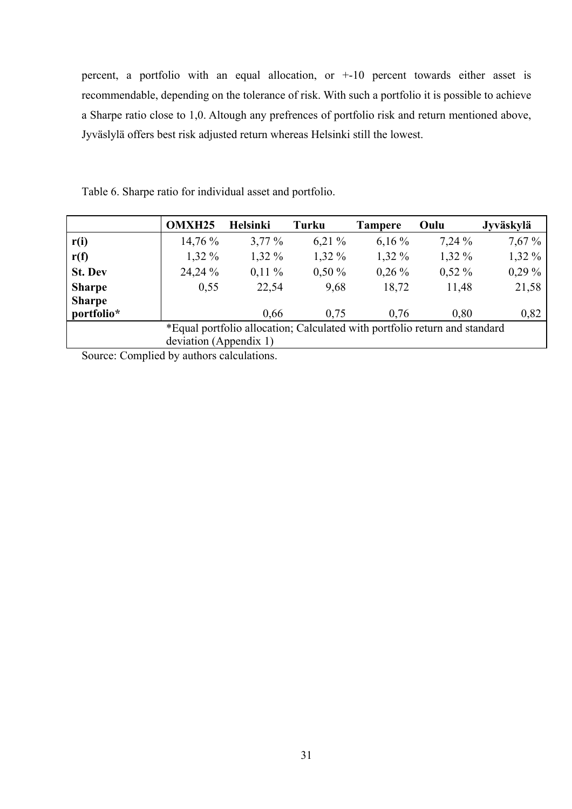percent, a portfolio with an equal allocation, or +-10 percent towards either asset is recommendable, depending on the tolerance of risk. With such a portfolio it is possible to achieve a Sharpe ratio close to 1,0. Altough any prefrences of portfolio risk and return mentioned above, Jyväslylä offers best risk adjusted return whereas Helsinki still the lowest.

|                | <b>OMXH25</b>          | <b>Helsinki</b>                                                            | Turku    | <b>Tampere</b> | Oulu     | Jyväskylä |
|----------------|------------------------|----------------------------------------------------------------------------|----------|----------------|----------|-----------|
| r(i)           | 14,76 %                | $3,77\%$                                                                   | $6,21\%$ | $6,16\%$       | $7,24\%$ | 7,67%     |
| r(f)           | $1,32\%$               | $1,32\%$                                                                   | $1,32\%$ | $1,32\%$       | $1,32\%$ | $1,32\%$  |
| <b>St. Dev</b> | 24,24 %                | $0,11\%$                                                                   | $0,50\%$ | $0,26\%$       | $0,52\%$ | $0,29\%$  |
| <b>Sharpe</b>  | 0,55                   | 22,54                                                                      | 9,68     | 18,72          | 11,48    | 21,58     |
| <b>Sharpe</b>  |                        |                                                                            |          |                |          |           |
| portfolio*     |                        | 0.66                                                                       | 0.75     | 0.76           | 0.80     | 0,82      |
|                |                        | *Equal portfolio allocation; Calculated with portfolio return and standard |          |                |          |           |
|                | deviation (Appendix 1) |                                                                            |          |                |          |           |

Table 6. Sharpe ratio for individual asset and portfolio.

Source: Complied by authors calculations.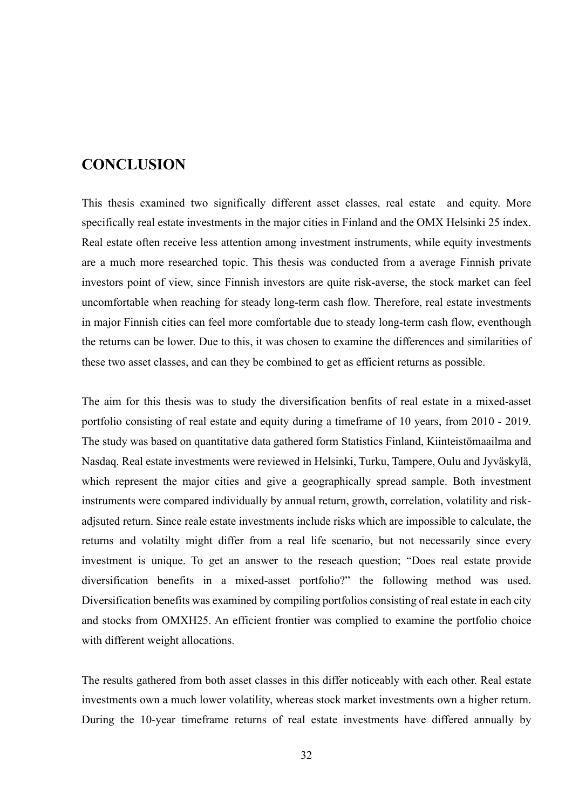# **CONCLUSION**

This thesis examined two significally different asset classes, real estate and equity. More specifically real estate investments in the major cities in Finland and the OMX Helsinki 25 index. Real estate often receive less attention among investment instruments, while equity investments are a much more researched topic. This thesis was conducted from a average Finnish private investors point of view, since Finnish investors are quite risk-averse, the stock market can feel uncomfortable when reaching for steady long-term cash flow. Therefore, real estate investments in major Finnish cities can feel more comfortable due to steady long-term cash flow, eventhough the returns can be lower. Due to this, it was chosen to examine the differences and similarities of these two asset classes, and can they be combined to get as efficient returns as possible.

The aim for this thesis was to study the diversification benfits of real estate in a mixed-asset portfolio consisting of real estate and equity during a timeframe of 10 years, from 2010 - 2019. The study was based on quantitative data gathered form Statistics Finland, Kiinteistömaailma and Nasdaq. Real estate investments were reviewed in Helsinki, Turku, Tampere, Oulu and Jyväskylä, which represent the major cities and give a geographically spread sample. Both investment instruments were compared individually by annual return, growth, correlation, volatility and riskadjsuted return. Since reale estate investments include risks which are impossible to calculate, the returns and volatilty might differ from a real life scenario, but not necessarily since every investment is unique. To get an answer to the reseach question; "Does real estate provide diversification benefits in a mixed-asset portfolio?" the following method was used. Diversification benefits was examined by compiling portfolios consisting of real estate in each city and stocks from OMXH25. An efficient frontier was complied to examine the portfolio choice with different weight allocations.

The results gathered from both asset classes in this differ noticeably with each other. Real estate investments own a much lower volatility, whereas stock market investments own a higher return. During the 10-year timeframe returns of real estate investments have differed annually by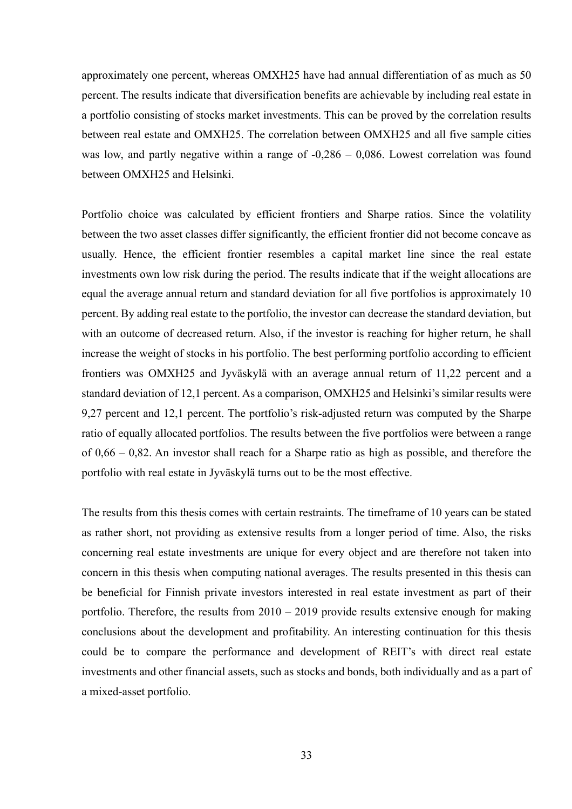approximately one percent, whereas OMXH25 have had annual differentiation of as much as 50 percent. The results indicate that diversification benefits are achievable by including real estate in a portfolio consisting of stocks market investments. This can be proved by the correlation results between real estate and OMXH25. The correlation between OMXH25 and all five sample cities was low, and partly negative within a range of  $-0.286 - 0.086$ . Lowest correlation was found between OMXH25 and Helsinki.

Portfolio choice was calculated by efficient frontiers and Sharpe ratios. Since the volatility between the two asset classes differ significantly, the efficient frontier did not become concave as usually. Hence, the efficient frontier resembles a capital market line since the real estate investments own low risk during the period. The results indicate that if the weight allocations are equal the average annual return and standard deviation for all five portfolios is approximately 10 percent. By adding real estate to the portfolio, the investor can decrease the standard deviation, but with an outcome of decreased return. Also, if the investor is reaching for higher return, he shall increase the weight of stocks in his portfolio. The best performing portfolio according to efficient frontiers was OMXH25 and Jyväskylä with an average annual return of 11,22 percent and a standard deviation of 12,1 percent. As a comparison, OMXH25 and Helsinki's similar results were 9,27 percent and 12,1 percent. The portfolio's risk-adjusted return was computed by the Sharpe ratio of equally allocated portfolios. The results between the five portfolios were between a range of 0,66 – 0,82. An investor shall reach for a Sharpe ratio as high as possible, and therefore the portfolio with real estate in Jyväskylä turns out to be the most effective.

The results from this thesis comes with certain restraints. The timeframe of 10 years can be stated as rather short, not providing as extensive results from a longer period of time. Also, the risks concerning real estate investments are unique for every object and are therefore not taken into concern in this thesis when computing national averages. The results presented in this thesis can be beneficial for Finnish private investors interested in real estate investment as part of their portfolio. Therefore, the results from  $2010 - 2019$  provide results extensive enough for making conclusions about the development and profitability. An interesting continuation for this thesis could be to compare the performance and development of REIT's with direct real estate investments and other financial assets, such as stocks and bonds, both individually and as a part of a mixed-asset portfolio.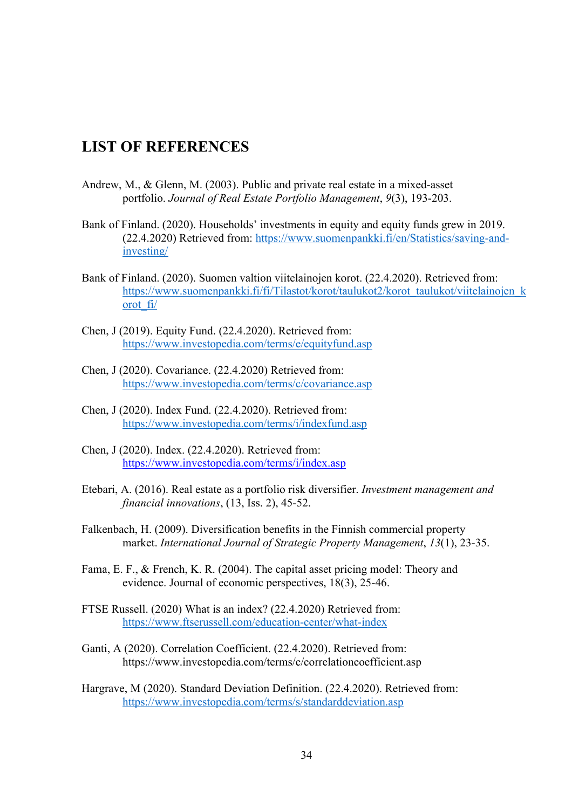## **LIST OF REFERENCES**

- Andrew, M., & Glenn, M. (2003). Public and private real estate in a mixed-asset portfolio. *Journal of Real Estate Portfolio Management*, *9*(3), 193-203.
- Bank of Finland. (2020). Households' investments in equity and equity funds grew in 2019. (22.4.2020) Retrieved from: https://www.suomenpankki.fi/en/Statistics/saving-andinvesting/
- Bank of Finland. (2020). Suomen valtion viitelainojen korot. (22.4.2020). Retrieved from: https://www.suomenpankki.fi/fi/Tilastot/korot/taulukot2/korot\_taulukot/viitelainojen\_k orot\_fi/
- Chen, J (2019). Equity Fund. (22.4.2020). Retrieved from: https://www.investopedia.com/terms/e/equityfund.asp
- Chen, J (2020). Covariance. (22.4.2020) Retrieved from: https://www.investopedia.com/terms/c/covariance.asp
- Chen, J (2020). Index Fund. (22.4.2020). Retrieved from: https://www.investopedia.com/terms/i/indexfund.asp
- Chen, J (2020). Index. (22.4.2020). Retrieved from: https://www.investopedia.com/terms/i/index.asp
- Etebari, A. (2016). Real estate as a portfolio risk diversifier. *Investment management and financial innovations*, (13, Iss. 2), 45-52.
- Falkenbach, H. (2009). Diversification benefits in the Finnish commercial property market. *International Journal of Strategic Property Management*, *13*(1), 23-35.
- Fama, E. F., & French, K. R. (2004). The capital asset pricing model: Theory and evidence. Journal of economic perspectives, 18(3), 25-46.
- FTSE Russell. (2020) What is an index? (22.4.2020) Retrieved from: https://www.ftserussell.com/education-center/what-index
- Ganti, A (2020). Correlation Coefficient. (22.4.2020). Retrieved from: https://www.investopedia.com/terms/c/correlationcoefficient.asp
- Hargrave, M (2020). Standard Deviation Definition. (22.4.2020). Retrieved from: https://www.investopedia.com/terms/s/standarddeviation.asp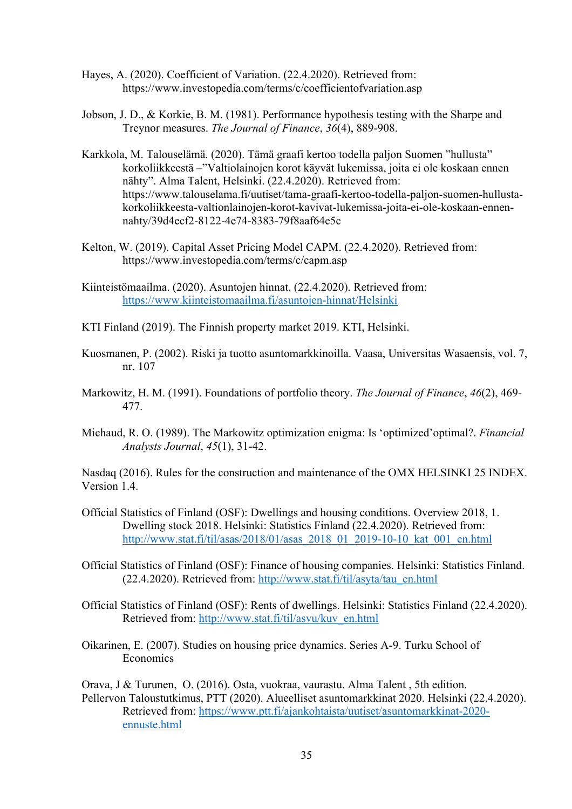- Hayes, A. (2020). Coefficient of Variation. (22.4.2020). Retrieved from: https://www.investopedia.com/terms/c/coefficientofvariation.asp
- Jobson, J. D., & Korkie, B. M. (1981). Performance hypothesis testing with the Sharpe and Treynor measures. *The Journal of Finance*, *36*(4), 889-908.
- Karkkola, M. Talouselämä. (2020). Tämä graafi kertoo todella paljon Suomen "hullusta" korkoliikkeestä –"Valtiolainojen korot käyvät lukemissa, joita ei ole koskaan ennen nähty". Alma Talent, Helsinki. (22.4.2020). Retrieved from: https://www.talouselama.fi/uutiset/tama-graafi-kertoo-todella-paljon-suomen-hullustakorkoliikkeesta-valtionlainojen-korot-kavivat-lukemissa-joita-ei-ole-koskaan-ennennahty/39d4ecf2-8122-4e74-8383-79f8aaf64e5c
- Kelton, W. (2019). Capital Asset Pricing Model CAPM. (22.4.2020). Retrieved from: https://www.investopedia.com/terms/c/capm.asp
- Kiinteistömaailma. (2020). Asuntojen hinnat. (22.4.2020). Retrieved from: https://www.kiinteistomaailma.fi/asuntojen-hinnat/Helsinki
- KTI Finland (2019). The Finnish property market 2019. KTI, Helsinki.
- Kuosmanen, P. (2002). Riski ja tuotto asuntomarkkinoilla. Vaasa, Universitas Wasaensis, vol. 7, nr. 107
- Markowitz, H. M. (1991). Foundations of portfolio theory. *The Journal of Finance*, *46*(2), 469- 477.
- Michaud, R. O. (1989). The Markowitz optimization enigma: Is 'optimized'optimal?. *Financial Analysts Journal*, *45*(1), 31-42.

Nasdaq (2016). Rules for the construction and maintenance of the OMX HELSINKI 25 INDEX. Version 1.4.

- Official Statistics of Finland (OSF): Dwellings and housing conditions. Overview 2018, 1. Dwelling stock 2018. Helsinki: Statistics Finland (22.4.2020). Retrieved from: http://www.stat.fi/til/asas/2018/01/asas\_2018\_01\_2019-10-10\_kat\_001\_en.html
- Official Statistics of Finland (OSF): Finance of housing companies. Helsinki: Statistics Finland. (22.4.2020). Retrieved from: http://www.stat.fi/til/asyta/tau\_en.html
- Official Statistics of Finland (OSF): Rents of dwellings. Helsinki: Statistics Finland (22.4.2020). Retrieved from: http://www.stat.fi/til/asvu/kuv\_en.html
- Oikarinen, E. (2007). Studies on housing price dynamics. Series A-9. Turku School of Economics

Orava, J & Turunen, O. (2016). Osta, vuokraa, vaurastu. Alma Talent , 5th edition. Pellervon Taloustutkimus, PTT (2020). Alueelliset asuntomarkkinat 2020. Helsinki (22.4.2020). Retrieved from: https://www.ptt.fi/ajankohtaista/uutiset/asuntomarkkinat-2020 ennuste.html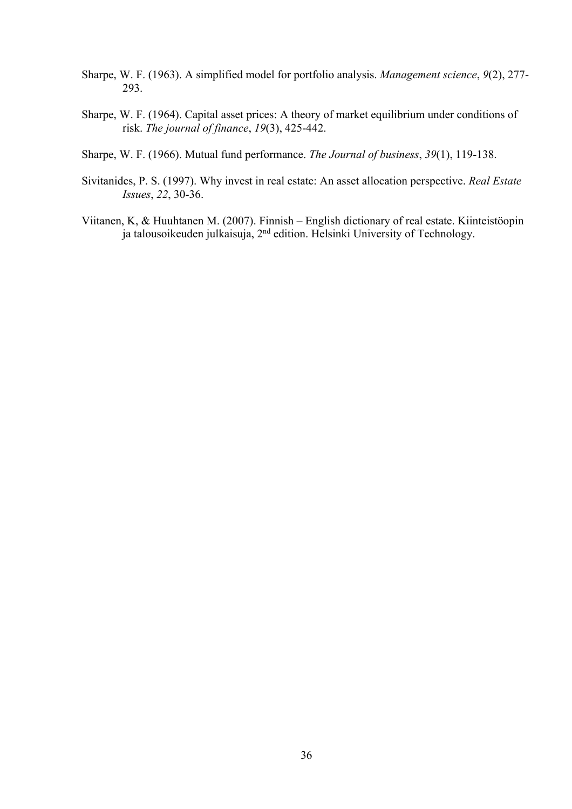- Sharpe, W. F. (1963). A simplified model for portfolio analysis. *Management science*, *9*(2), 277- 293.
- Sharpe, W. F. (1964). Capital asset prices: A theory of market equilibrium under conditions of risk. *The journal of finance*, *19*(3), 425-442.
- Sharpe, W. F. (1966). Mutual fund performance. *The Journal of business*, *39*(1), 119-138.
- Sivitanides, P. S. (1997). Why invest in real estate: An asset allocation perspective. *Real Estate Issues*, *22*, 30-36.
- Viitanen, K, & Huuhtanen M. (2007). Finnish English dictionary of real estate. Kiinteistöopin ja talousoikeuden julkaisuja, 2nd edition. Helsinki University of Technology.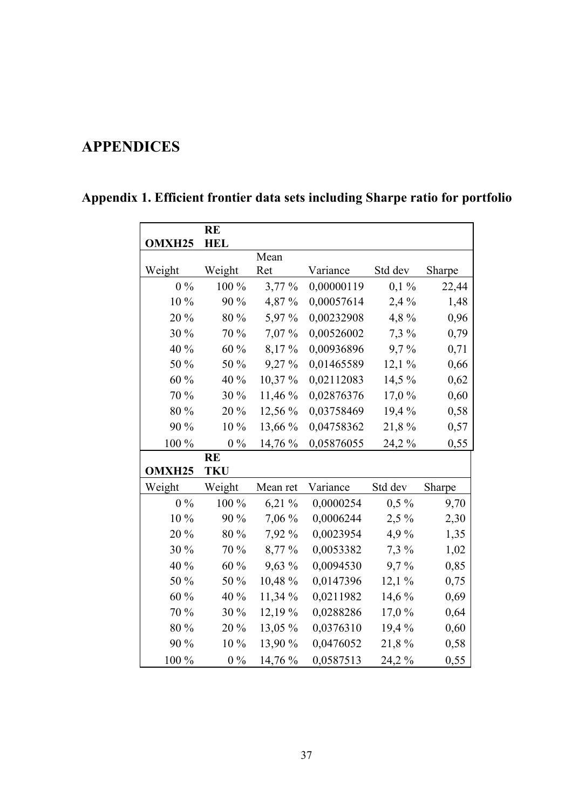# **APPENDICES**

|        | <b>RE</b>  |           |            |         |        |
|--------|------------|-----------|------------|---------|--------|
| OMXH25 | <b>HEL</b> |           |            |         |        |
|        |            | Mean      |            |         |        |
| Weight | Weight     | Ret       | Variance   | Std dev | Sharpe |
| $0\%$  | 100 %      | $3,77\%$  | 0,00000119 | $0,1\%$ | 22,44  |
| 10 %   | 90 %       | 4,87 %    | 0,00057614 | 2,4 %   | 1,48   |
| 20 %   | 80 %       | 5,97 %    | 0,00232908 | 4,8%    | 0,96   |
| 30 %   | 70 %       | 7,07 %    | 0,00526002 | 7,3 %   | 0,79   |
| 40 %   | 60 %       | 8,17%     | 0,00936896 | 9,7%    | 0,71   |
| 50 %   | 50 %       | 9,27%     | 0,01465589 | 12,1%   | 0,66   |
| 60 %   | 40 %       | 10,37%    | 0,02112083 | 14,5 %  | 0,62   |
| 70 %   | 30 %       | 11,46 %   | 0,02876376 | 17,0 %  | 0,60   |
| 80 %   | 20 %       | 12,56 %   | 0,03758469 | 19,4 %  | 0,58   |
| 90 %   | 10%        | 13,66 %   | 0,04758362 | 21,8%   | 0,57   |
| 100 %  | $0\%$      | 14,76 %   | 0,05876055 | 24,2 %  | 0,55   |
|        | <b>RE</b>  |           |            |         |        |
| OMXH25 | <b>TKU</b> |           |            |         |        |
| Weight | Weight     | Mean ret  | Variance   | Std dev | Sharpe |
| $0\%$  | 100 %      | $6,21\%$  | 0,0000254  | $0,5\%$ | 9,70   |
| 10 %   | 90 %       | 7,06 %    | 0,0006244  | $2,5\%$ | 2,30   |
| 20 %   | 80 %       | 7,92 %    | 0,0023954  | 4,9%    | 1,35   |
| 30 %   | 70 %       | 8,77 %    | 0,0053382  | $7,3\%$ | 1,02   |
| 40 %   | 60 %       | 9,63 %    | 0,0094530  | 9,7%    | 0,85   |
| 50 %   | 50 %       | 10,48 %   | 0,0147396  | 12,1%   | 0,75   |
| 60 %   | 40 %       | 11,34 %   | 0,0211982  | 14,6 %  | 0,69   |
| 70 %   | 30 %       | $12,19\%$ | 0,0288286  | 17,0 %  | 0,64   |
| 80 %   | 20 %       | 13,05 %   | 0,0376310  | 19,4%   | 0,60   |
| 90 %   | 10 %       | 13,90 %   | 0,0476052  | 21,8%   | 0,58   |
| 100 %  | $0\%$      | 14,76 %   | 0,0587513  | 24,2 %  | 0,55   |

# **Appendix 1. Efficient frontier data sets including Sharpe ratio for portfolio**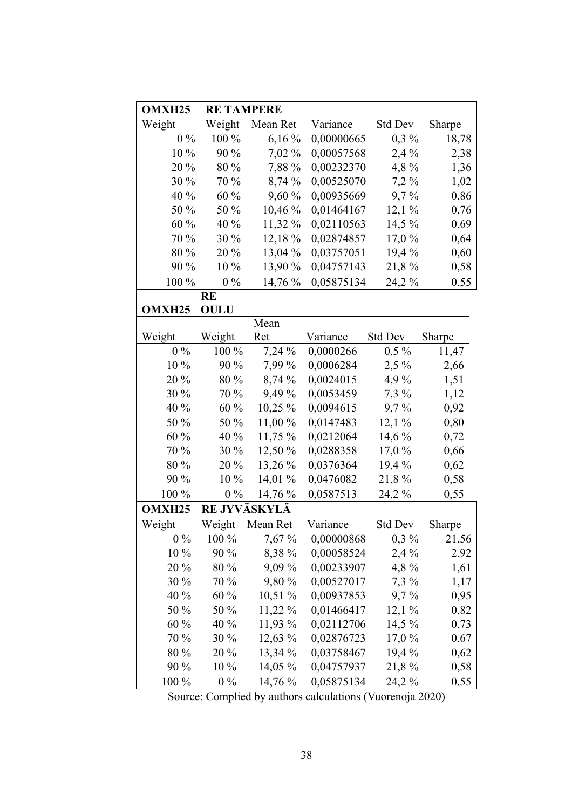| OMXH <sub>25</sub> | <b>RE TAMPERE</b> |           |            |                |        |
|--------------------|-------------------|-----------|------------|----------------|--------|
| Weight             | Weight            | Mean Ret  | Variance   | Std Dev        | Sharpe |
| $0\%$              | 100 %             | $6,16\%$  | 0,00000665 | $0.3\%$        | 18,78  |
| 10 %               | 90 %              | 7,02 %    | 0,00057568 | 2,4%           | 2,38   |
| 20 %               | 80 %              | 7,88 %    | 0,00232370 | 4,8%           | 1,36   |
| 30 %               | 70 %              | 8,74 %    | 0,00525070 | $7,2\%$        | 1,02   |
| 40 %               | 60 %              | 9,60 %    | 0,00935669 | 9,7%           | 0,86   |
| 50 %               | 50 %              | 10,46 %   | 0,01464167 | 12,1%          | 0,76   |
| 60 %               | 40 %              | 11,32 %   | 0,02110563 | 14,5 %         | 0,69   |
| 70 %               | 30 %              | 12,18 %   | 0,02874857 | 17,0 %         | 0,64   |
| 80 %               | 20 %              | 13,04 %   | 0,03757051 | 19,4 %         | 0,60   |
| 90 %               | 10 %              | 13,90 %   | 0,04757143 | 21,8%          | 0,58   |
| 100 %              | $0\%$             | 14,76 %   | 0,05875134 | 24,2 %         | 0,55   |
|                    | <b>RE</b>         |           |            |                |        |
| OMXH <sub>25</sub> | <b>OULU</b>       |           |            |                |        |
|                    |                   | Mean      |            |                |        |
| Weight             | Weight            | Ret       | Variance   | Std Dev        | Sharpe |
| $0\%$              | 100 %             | 7,24 %    | 0,0000266  | $0.5\%$        | 11,47  |
| 10 %               | 90 %              | 7,99 %    | 0,0006284  | $2,5\%$        | 2,66   |
| 20 %               | 80 %              | 8,74 %    | 0,0024015  | 4,9%           | 1,51   |
| 30 %               | 70 %              | 9,49 %    | 0,0053459  | $7,3\%$        | 1,12   |
| 40 %               | 60 %              | $10,25\%$ | 0,0094615  | 9,7%           | 0,92   |
| 50 %               | 50 %              | 11,00 %   | 0,0147483  | 12,1%          | 0,80   |
| 60 %               | 40 %              | 11,75 %   | 0,0212064  | 14,6 %         | 0,72   |
| 70 %               | 30 %              | 12,50 %   | 0,0288358  | 17,0%          | 0,66   |
| 80 %               | 20 %              | 13,26 %   | 0,0376364  | 19,4 %         | 0,62   |
| 90 %               | 10 %              | 14,01 %   | 0,0476082  | 21,8%          | 0,58   |
| 100 %              | $0\%$             | 14,76 %   | 0,0587513  | 24,2 %         | 0,55   |
| OMXH <sub>25</sub> | RE JYVÄSKYLÄ      |           |            |                |        |
| Weight             | Weight            | Mean Ret  | Variance   | <b>Std Dev</b> | Sharpe |
| $0\%$              | $100\%$           | 7,67 %    | 0,00000868 | $0,3\%$        | 21,56  |
| 10 %               | 90 %              | 8,38 %    | 0,00058524 | 2,4%           | 2,92   |
| 20 %               | 80 %              | 9,09 %    | 0,00233907 | 4,8%           | 1,61   |
| 30 %               | 70 %              | 9,80 %    | 0,00527017 | $7,3\%$        | 1,17   |
| 40 %               | 60 %              | 10,51%    | 0,00937853 | 9,7%           | 0,95   |
| 50 %               | 50 %              | $11,22\%$ | 0,01466417 | 12,1%          | 0,82   |
| 60 %               | 40 %              | 11,93 %   | 0,02112706 | $14,5\%$       | 0,73   |
| 70 %               | $30\%$            | $12,63\%$ | 0,02876723 | 17,0%          | 0,67   |
| 80 %               | 20 %              | 13,34 %   | 0,03758467 | 19,4 %         | 0,62   |
| 90 %               | 10 %              | $14,05\%$ | 0,04757937 | 21,8 %         | 0,58   |
| 100 %              | $0\%$             | 14,76 %   | 0,05875134 | 24,2 %         | 0,55   |

Source: Complied by authors calculations (Vuorenoja 2020)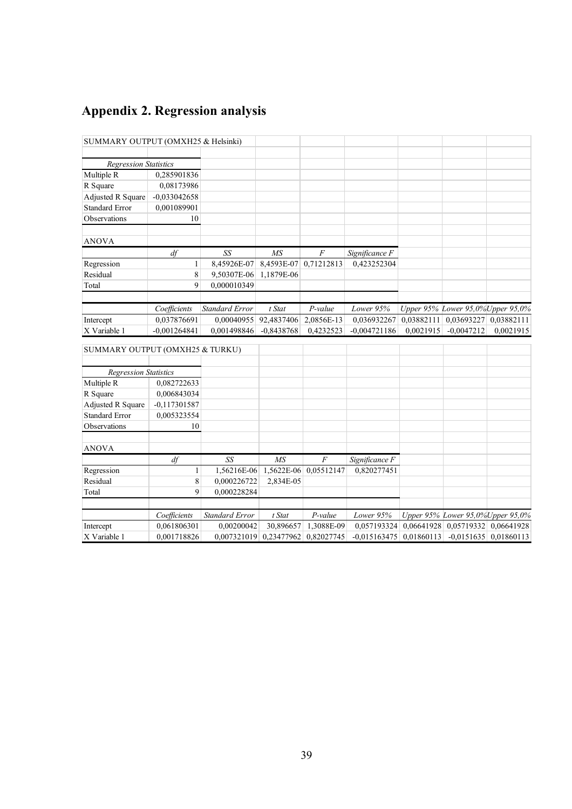# **Appendix 2. Regression analysis**

| SUMMARY OUTPUT (OMXH25 & Helsinki) |                |                       |                                   |                       |                                                               |           |                                              |           |
|------------------------------------|----------------|-----------------------|-----------------------------------|-----------------------|---------------------------------------------------------------|-----------|----------------------------------------------|-----------|
|                                    |                |                       |                                   |                       |                                                               |           |                                              |           |
| <b>Regression Statistics</b>       |                |                       |                                   |                       |                                                               |           |                                              |           |
| Multiple R                         | 0,285901836    |                       |                                   |                       |                                                               |           |                                              |           |
| R Square                           | 0,08173986     |                       |                                   |                       |                                                               |           |                                              |           |
| Adjusted R Square                  | $-0,033042658$ |                       |                                   |                       |                                                               |           |                                              |           |
| <b>Standard Error</b>              | 0,001089901    |                       |                                   |                       |                                                               |           |                                              |           |
| Observations                       | 10             |                       |                                   |                       |                                                               |           |                                              |           |
| <b>ANOVA</b>                       |                |                       |                                   |                       |                                                               |           |                                              |           |
|                                    | df             | SS                    | MS                                | $\boldsymbol{F}$      | Significance F                                                |           |                                              |           |
| Regression                         | $\mathbf{1}$   | 8,45926E-07           | 8,4593E-07 0,71212813             |                       | 0,423252304                                                   |           |                                              |           |
| Residual                           | 8              | 9,50307E-06           | 1,1879E-06                        |                       |                                                               |           |                                              |           |
| Total                              | 9              | 0.000010349           |                                   |                       |                                                               |           |                                              |           |
|                                    |                |                       |                                   |                       |                                                               |           |                                              |           |
|                                    | Coefficients   | Standard Error        | t Stat                            | P-value               | Lower 95%                                                     |           | Upper 95% Lower 95,0% Upper 95,0%            |           |
| Intercept                          | 0,037876691    | 0,00040955 92,4837406 |                                   | 2,0856E-13            | $0,036932267 \mid 0,03882111 \mid 0,03693227 \mid 0,03882111$ |           |                                              |           |
| X Variable 1                       | $-0,001264841$ | 0,001498846           | $-0,8438768$                      | 0,4232523             | $-0.004721186$                                                | 0,0021915 | $-0.0047212$                                 | 0,0021915 |
| SUMMARY OUTPUT (OMXH25 & TURKU)    |                |                       |                                   |                       |                                                               |           |                                              |           |
| <b>Regression Statistics</b>       |                |                       |                                   |                       |                                                               |           |                                              |           |
| Multiple R                         | 0,082722633    |                       |                                   |                       |                                                               |           |                                              |           |
| R Square                           | 0,006843034    |                       |                                   |                       |                                                               |           |                                              |           |
| Adjusted R Square                  | $-0,117301587$ |                       |                                   |                       |                                                               |           |                                              |           |
| <b>Standard Error</b>              | 0,005323554    |                       |                                   |                       |                                                               |           |                                              |           |
| Observations                       | 10             |                       |                                   |                       |                                                               |           |                                              |           |
| <b>ANOVA</b>                       |                |                       |                                   |                       |                                                               |           |                                              |           |
|                                    | df             | SS                    | MS                                | $\overline{F}$        | Significance F                                                |           |                                              |           |
| Regression                         | $\mathbf{1}$   | 1,56216E-06           |                                   | 1,5622E-06 0,05512147 | 0,820277451                                                   |           |                                              |           |
| Residual                           | 8              | 0,000226722           | 2,834E-05                         |                       |                                                               |           |                                              |           |
| Total                              | $\mathbf{Q}$   | 0,000228284           |                                   |                       |                                                               |           |                                              |           |
|                                    |                |                       |                                   |                       |                                                               |           |                                              |           |
|                                    | Coefficients   | <b>Standard Error</b> | t Stat                            | P-value               | Lower 95%                                                     |           | Upper 95% Lower 95,0% Upper 95,0%            |           |
| Intercept                          | 0,061806301    | 0,00200042            | 30,896657                         | 1,3088E-09            |                                                               |           | 0,057193324 0,06641928 0,05719332 0,06641928 |           |
| X Variable 1                       | 0,001718826    |                       | 0,007321019 0,23477962 0,82027745 |                       | $-0.015163475$ 0.01860113 $-0.0151635$ 0.01860113             |           |                                              |           |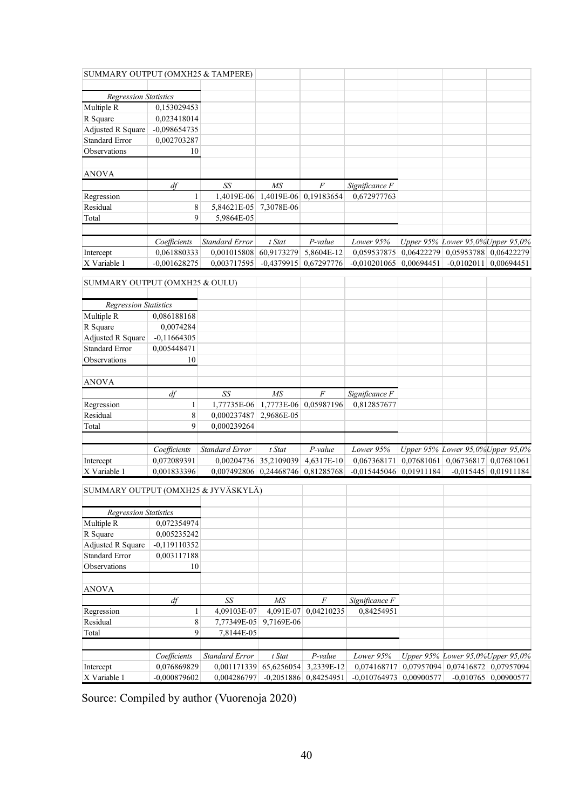| SUMMARY OUTPUT (OMXH25 & TAMPERE)   |                             |                                   |                      |                         |                              |            |                                                              |                        |
|-------------------------------------|-----------------------------|-----------------------------------|----------------------|-------------------------|------------------------------|------------|--------------------------------------------------------------|------------------------|
|                                     |                             |                                   |                      |                         |                              |            |                                                              |                        |
| <b>Regression Statistics</b>        |                             |                                   |                      |                         |                              |            |                                                              |                        |
| Multiple R                          | 0,153029453                 |                                   |                      |                         |                              |            |                                                              |                        |
| R Square                            | 0,023418014                 |                                   |                      |                         |                              |            |                                                              |                        |
| Adjusted R Square                   | $-0,098654735$              |                                   |                      |                         |                              |            |                                                              |                        |
| <b>Standard Error</b>               | 0,002703287                 |                                   |                      |                         |                              |            |                                                              |                        |
| Observations                        | 10                          |                                   |                      |                         |                              |            |                                                              |                        |
|                                     |                             |                                   |                      |                         |                              |            |                                                              |                        |
| <b>ANOVA</b>                        |                             |                                   |                      |                         |                              |            |                                                              |                        |
|                                     | df                          | SS                                | MS                   | F                       | Significance F               |            |                                                              |                        |
| Regression                          | 1                           | 1,4019E-06                        | 1,4019E-06           | 0,19183654              | 0,672977763                  |            |                                                              |                        |
| Residual                            | 8                           | 5,84621E-05                       | 7,3078E-06           |                         |                              |            |                                                              |                        |
| Total                               | 9                           | 5,9864E-05                        |                      |                         |                              |            |                                                              |                        |
|                                     |                             |                                   |                      |                         |                              |            |                                                              |                        |
|                                     | Coefficients                | <b>Standard Error</b>             | t Stat               | P-value                 | Lower 95%                    |            | Upper 95% Lower 95,0% Upper 95,0%                            |                        |
| Intercept                           | 0,061880333                 | 0,001015808                       | 60,9173279           | 5,8604E-12              | 0,059537875                  |            | 0,06422279 0,05953788                                        | 0,06422279             |
| X Variable 1                        | $-0,001628275$              | 0,003717595                       | $-0,4379915$         | 0,67297776              | $-0,010201065$               | 0.00694451 | $-0,0102011$                                                 | 0,00694451             |
| SUMMARY OUTPUT (OMXH25 & OULU)      |                             |                                   |                      |                         |                              |            |                                                              |                        |
|                                     |                             |                                   |                      |                         |                              |            |                                                              |                        |
| <b>Regression Statistics</b>        |                             |                                   |                      |                         |                              |            |                                                              |                        |
| Multiple R                          | 0,086188168                 |                                   |                      |                         |                              |            |                                                              |                        |
| R Square                            | 0,0074284                   |                                   |                      |                         |                              |            |                                                              |                        |
| Adjusted R Square                   | $-0,11664305$               |                                   |                      |                         |                              |            |                                                              |                        |
| <b>Standard Error</b>               | 0,005448471                 |                                   |                      |                         |                              |            |                                                              |                        |
| Observations                        | 10                          |                                   |                      |                         |                              |            |                                                              |                        |
| <b>ANOVA</b>                        |                             |                                   |                      |                         |                              |            |                                                              |                        |
|                                     | df                          | SS                                | MS                   | $\cal F$                | Significance F               |            |                                                              |                        |
| Regression                          | 1                           | 1,77735E-06                       | 1,7773E-06           | 0,05987196              | 0,812857677                  |            |                                                              |                        |
| Residual                            | 8                           | 0,000237487                       | 2,9686E-05           |                         |                              |            |                                                              |                        |
| Total                               | 9                           | 0,000239264                       |                      |                         |                              |            |                                                              |                        |
|                                     |                             |                                   |                      |                         |                              |            |                                                              |                        |
|                                     | Coefficients                | <b>Standard Error</b>             | t Stat               | P-value                 | Lower 95%                    |            | Upper 95% Lower 95,0%Upper 95,0%                             |                        |
| Intercept                           | 0,072089391                 | 0,00204736 35,2109039             |                      | 4,6317E-10              | 0,067368171                  |            | $0,07681061$ 0.06736817 0.07681061                           |                        |
| X Variable 1                        | 0,001833396                 | 0,007492806 0,24468746 0,81285768 |                      |                         | $-0,015445046$               | 0,01911184 |                                                              | $-0,015445$ 0,01911184 |
| SUMMARY OUTPUT (OMXH25 & JYVÄSKYLÄ) |                             |                                   |                      |                         |                              |            |                                                              |                        |
|                                     |                             |                                   |                      |                         |                              |            |                                                              |                        |
| <b>Regression Statistics</b>        |                             |                                   |                      |                         |                              |            |                                                              |                        |
| Multiple R                          | 0,072354974                 |                                   |                      |                         |                              |            |                                                              |                        |
| R Square                            | 0,005235242                 |                                   |                      |                         |                              |            |                                                              |                        |
| Adjusted R Square                   | $-0,119110352$              |                                   |                      |                         |                              |            |                                                              |                        |
| <b>Standard Error</b>               | 0,003117188                 |                                   |                      |                         |                              |            |                                                              |                        |
| Observations                        | 10                          |                                   |                      |                         |                              |            |                                                              |                        |
| <b>ANOVA</b>                        |                             |                                   |                      |                         |                              |            |                                                              |                        |
|                                     | df                          | SS                                | M <sub>S</sub>       | F                       |                              |            |                                                              |                        |
|                                     |                             | 4,09103E-07                       | 4,091E-07            |                         | Significance F<br>0,84254951 |            |                                                              |                        |
| Regression<br>Residual              | 1                           |                                   |                      | 0,04210235              |                              |            |                                                              |                        |
| Total                               | 8<br>9                      | 7,77349E-05                       | 9,7169E-06           |                         |                              |            |                                                              |                        |
|                                     |                             | 7,8144E-05                        |                      |                         |                              |            |                                                              |                        |
|                                     |                             |                                   |                      |                         |                              |            |                                                              |                        |
|                                     | Coefficients<br>0,076869829 | Standard Error                    | t Stat<br>65,6256054 | P-value<br>3,2339E-12   | Lower 95%<br>0,074168717     |            | Upper 95% Lower 95,0% Upper 95,0%<br>$0,07957094$ 0.07416872 | 0,07957094             |
| Intercept<br>X Variable 1           | $-0,000879602$              | 0,001171339<br>0,004286797        |                      | $-0,2051886$ 0,84254951 | $-0,010764973$ 0,00900577    |            |                                                              | $-0,010765$ 0,00900577 |
|                                     |                             |                                   |                      |                         |                              |            |                                                              |                        |

Source: Compiled by author (Vuorenoja 2020)